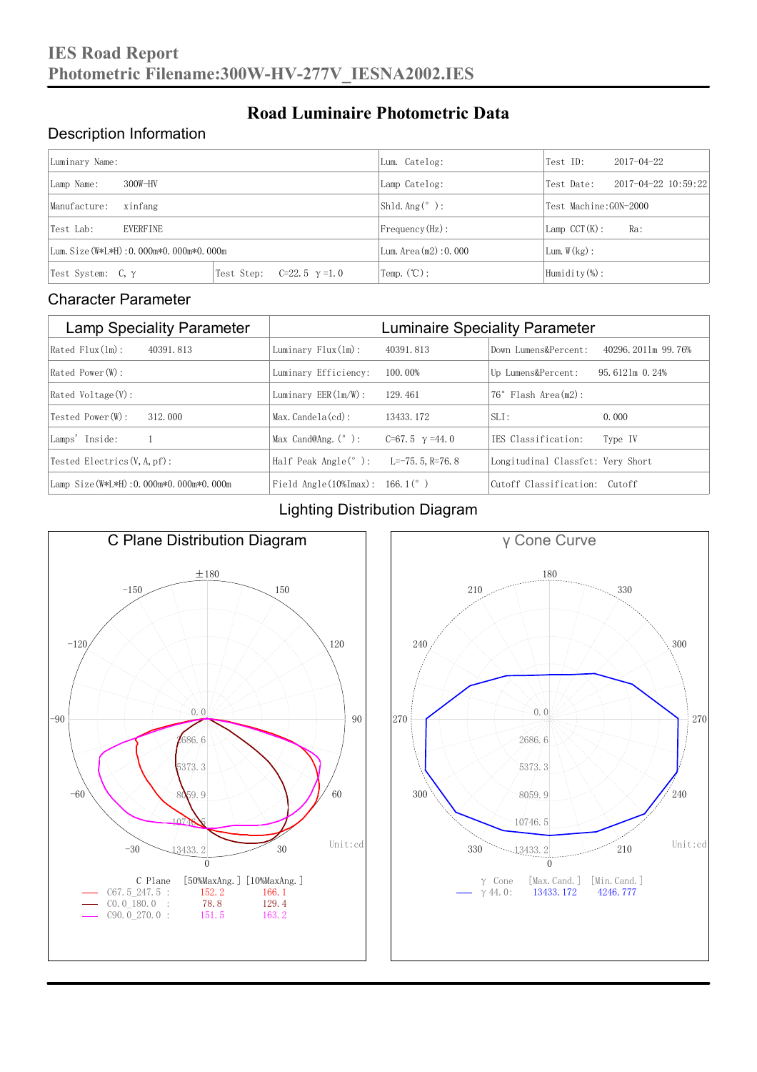#### Description Information

| Luminary Name:                          |                                     | Lum. Catelog:            | Test ID:              | $2017 - 04 - 22$ |
|-----------------------------------------|-------------------------------------|--------------------------|-----------------------|------------------|
| $300W-HV$<br>Lamp Name:                 | Lamp Catelog:                       | Test Date:               | 2017-04-22 10:59:22   |                  |
| Manufacture:<br>xinfang                 |                                     | $Shld$ Ang(°):           | Test Machine:GON-2000 |                  |
| <b>EVERFINE</b><br>Test Lab:            |                                     | Frequency (Hz):          | $Lamp$ CCT(K):        | Ra:              |
| Lum. Size (W*L*H): 0.000m*0.000m*0.000m |                                     | Lum. Area $(m2)$ : 0.000 | Lum.W(kg):            |                  |
| Test System: $C, \gamma$                | Test Step:<br>$C=22.5$ $\gamma=1.0$ | Temp. $(\mathbb{C})$ :   | Humidity $(\%)$ :     |                  |

**Road Luminaire Photometric Data**

#### Character Parameter

| <b>Lamp Speciality Parameter</b>       | <b>Luminaire Speciality Parameter</b>                               |                       |                                   |                      |
|----------------------------------------|---------------------------------------------------------------------|-----------------------|-----------------------------------|----------------------|
| Rated Flux(1m):<br>40391.813           | Luminary $Flux(ln)$ :                                               | 40391, 813            | Down Lumens&Percent:              | 40296, 2011m 99, 76% |
| Rated Power (W):                       | Luminary Efficiency:                                                | 100.00%               | Up Lumens&Percent:                | $95.6121m$ 0.24%     |
| $Rated$ Voltage $(V)$ :                | Luminary $EER(\ln/W)$ :                                             | 129, 461              | $76°$ Flash Area $(m2)$ :         |                      |
| Tested Power(W):<br>312.000            | $Max. Candela(cd)$ :                                                | 13433, 172            | $SLI$ :                           | 0.000                |
| Lamps' Inside:                         | Max Cand@Ang. $(°)$ :                                               | C=67.5 $\gamma$ =44.0 | TES Classification:               | Type IV              |
| Tested Electrics $(V, A, pf)$ :        | Half Peak Angle $(°)$ :                                             | $L=-75, 5, R=76, 8$   | Longitudinal Classfct: Very Short |                      |
| Lamp Size(W*L*H): 0.000m*0.000m*0.000m | Field Angle $(10\text{\%} \text{Im} \text{ax})$ : 166.1 $(^\circ$ ) |                       | Cutoff Classification: Cutoff     |                      |

#### Lighting Distribution Diagram



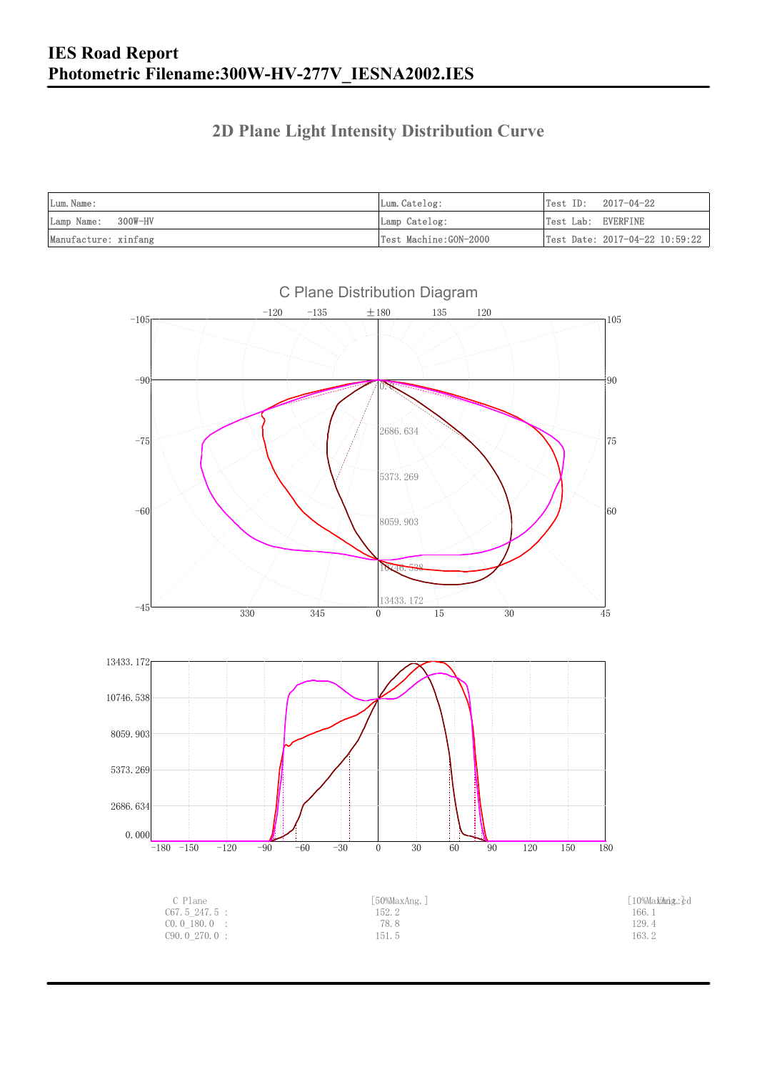### **2D Plane Light Intensity Distribution Curve**

| Lum. Name:           | Lum.Catelog:          |                    | $Test ID: 2017-04-22$          |
|----------------------|-----------------------|--------------------|--------------------------------|
| Lamp Name: 300W-HV   | Lamp Catelog:         | Test Lab: EVERFINE |                                |
| Manufacture: xinfang | Test Machine:GON-2000 |                    | Test Date: 2017-04-22 10:59:22 |

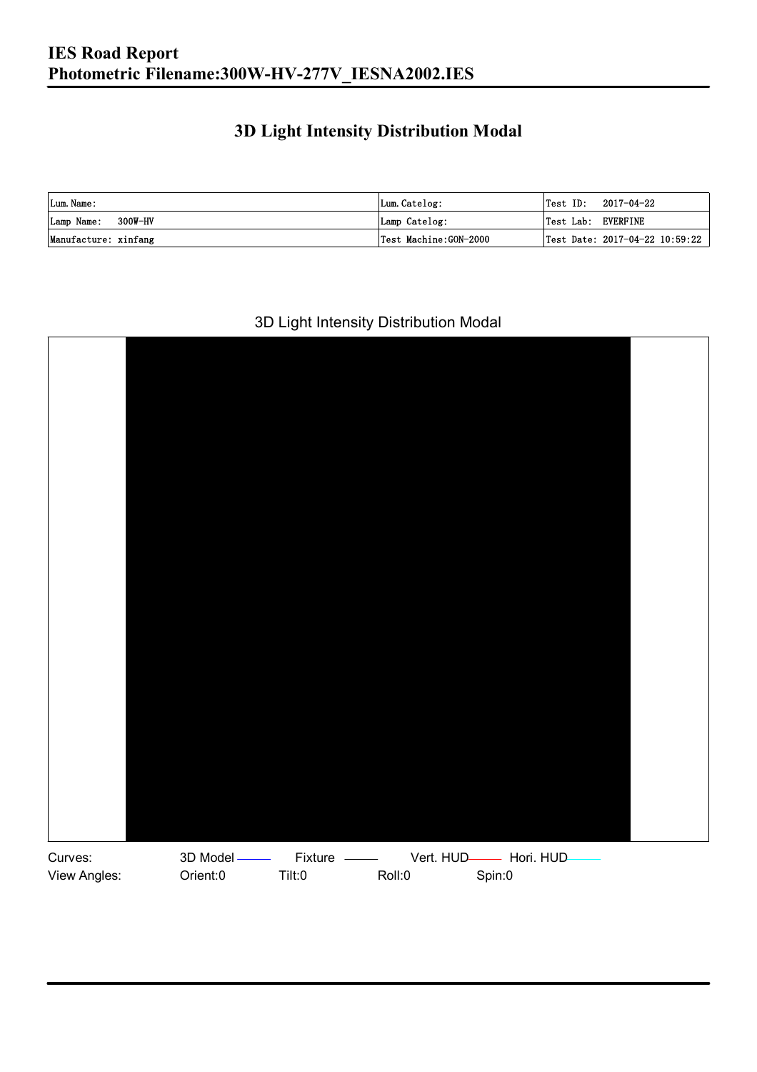### **3D Light Intensity Distribution Modal**

| Lum. Name:           | Lum.Catelog:          |                    | $\textsf{Test ID:} \quad 2017-04-22$ |
|----------------------|-----------------------|--------------------|--------------------------------------|
| Lamp Name: 300W-HV   | Lamp Catelog:         | Test Lab: EVERFINE |                                      |
| Manufacture: xinfang | Test Machine:GON-2000 |                    | Test Date: 2017-04-22 10:59:22       |

#### 3D Light Intensity Distribution Modal

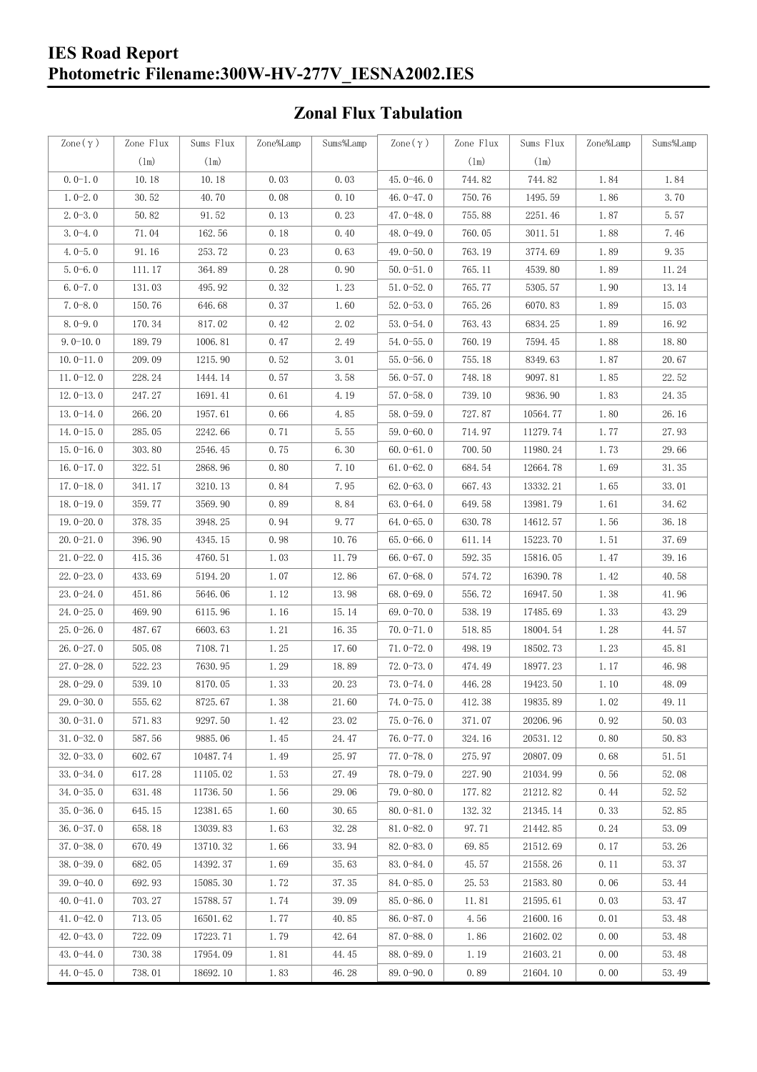#### **IES Road Report Photometric Filename:300W-HV-277V\_IESNA2002.IES**

### **Zonal Flux Tabulation**

| Zone $(\gamma)$ | Zone Flux     | Sums Flux     | Zone%Lamp | Sums%Lamp | Zone $(\gamma)$ | Zone Flux     | Sums Flux | Zone%Lamp | Sums%Lamp |
|-----------------|---------------|---------------|-----------|-----------|-----------------|---------------|-----------|-----------|-----------|
|                 | $(\text{lm})$ | $(\text{lm})$ |           |           |                 | $(\text{lm})$ | (1m)      |           |           |
| $0.0-1.0$       | 10.18         | 10.18         | 0.03      | 0.03      | $45.0 - 46.0$   | 744.82        | 744.82    | 1.84      | 1.84      |
| $1.0 - 2.0$     | 30.52         | 40.70         | 0.08      | 0.10      | 46.0 $-47.0$    | 750.76        | 1495.59   | 1.86      | 3.70      |
| $2.0 - 3.0$     | 50.82         | 91.52         | 0.13      | 0.23      | $47.0 - 48.0$   | 755.88        | 2251.46   | 1.87      | 5.57      |
| $3.0 - 4.0$     | 71.04         | 162.56        | 0.18      | 0.40      | 48.0-49.0       | 760.05        | 3011.51   | 1.88      | 7.46      |
| $4.0 - 5.0$     | 91.16         | 253.72        | 0.23      | 0.63      | 49.0 $-50.0$    | 763.19        | 3774.69   | 1.89      | 9.35      |
| $5.0 - 6.0$     | 111.17        | 364.89        | 0.28      | 0.90      | $50.0 - 51.0$   | 765.11        | 4539.80   | 1.89      | 11.24     |
| $6.0 - 7.0$     | 131.03        | 495.92        | 0.32      | 1.23      | $51.0 - 52.0$   | 765.77        | 5305.57   | 1.90      | 13.14     |
| $7.0 - 8.0$     | 150.76        | 646.68        | 0.37      | 1.60      | $52.0 - 53.0$   | 765.26        | 6070.83   | 1.89      | 15.03     |
| $8.0 - 9.0$     | 170.34        | 817.02        | 0.42      | 2.02      | $53.0 - 54.0$   | 763.43        | 6834.25   | 1.89      | 16.92     |
| $9.0 - 10.0$    | 189.79        | 1006.81       | 0.47      | 2.49      | $54.0 - 55.0$   | 760.19        | 7594.45   | 1.88      | 18.80     |
| $10.0 - 11.0$   | 209.09        | 1215.90       | 0.52      | 3.01      | $55.0 - 56.0$   | 755.18        | 8349.63   | 1.87      | 20.67     |
| $11.0 - 12.0$   | 228.24        | 1444.14       | 0.57      | 3.58      | $56.0 - 57.0$   | 748.18        | 9097.81   | 1.85      | 22.52     |
| $12.0 - 13.0$   | 247.27        | 1691.41       | 0.61      | 4.19      | $57.0 - 58.0$   | 739.10        | 9836.90   | 1.83      | 24.35     |
| $13.0 - 14.0$   | 266.20        | 1957.61       | 0.66      | 4.85      | $58.0 - 59.0$   | 727.87        | 10564.77  | 1.80      | 26.16     |
| $14.0 - 15.0$   | 285.05        | 2242.66       | 0.71      | 5.55      | $59.0 - 60.0$   | 714.97        | 11279.74  | 1.77      | 27.93     |
| $15.0 - 16.0$   | 303.80        | 2546.45       | 0.75      | 6.30      | $60.0 - 61.0$   | 700.50        | 11980.24  | 1.73      | 29.66     |
| $16.0 - 17.0$   | 322.51        | 2868.96       | 0.80      | 7.10      | $61.0 - 62.0$   | 684.54        | 12664.78  | 1.69      | 31.35     |
| $17.0 - 18.0$   | 341.17        | 3210.13       | 0.84      | 7.95      | $62.0 - 63.0$   | 667.43        | 13332.21  | 1.65      | 33.01     |
| $18.0 - 19.0$   | 359.77        | 3569.90       | 0.89      | 8.84      | $63.0 - 64.0$   | 649.58        | 13981.79  | 1.61      | 34.62     |
| $19.0 - 20.0$   | 378.35        | 3948.25       | 0.94      | 9.77      | $64.0 - 65.0$   | 630.78        | 14612.57  | 1.56      | 36.18     |
| $20.0 - 21.0$   | 396.90        | 4345.15       | 0.98      | 10.76     | $65.0 - 66.0$   | 611.14        | 15223.70  | 1.51      | 37.69     |
| $21.0 - 22.0$   | 415.36        | 4760.51       | 1.03      | 11.79     | $66.0 - 67.0$   | 592.35        | 15816.05  | 1.47      | 39.16     |
| $22.0 - 23.0$   | 433.69        | 5194.20       | 1.07      | 12.86     | $67.0 - 68.0$   | 574.72        | 16390.78  | 1.42      | 40.58     |
| $23.0 - 24.0$   | 451.86        | 5646.06       | 1.12      | 13.98     | $68.0 - 69.0$   | 556.72        | 16947.50  | 1.38      | 41.96     |
| $24.0 - 25.0$   | 469.90        | 6115.96       | 1.16      | 15.14     | 69.0 $-70.0$    | 538.19        | 17485.69  | 1.33      | 43.29     |
| $25.0 - 26.0$   | 487.67        | 6603.63       | 1.21      | 16.35     | $70.0 - 71.0$   | 518.85        | 18004.54  | 1.28      | 44.57     |
| $26.0 - 27.0$   | 505.08        | 7108.71       | 1.25      | 17.60     | $71.0 - 72.0$   | 498.19        | 18502.73  | 1.23      | 45.81     |
| $27.0 - 28.0$   | 522.23        | 7630.95       | 1.29      | 18.89     | $72.0 - 73.0$   | 474.49        | 18977.23  | 1.17      | 46.98     |
| $28.0 - 29.0$   | 539.10        | 8170.05       | 1.33      | 20.23     | $73.0 - 74.0$   | 446.28        | 19423.50  | 1.10      | 48.09     |
| 29.0-30.0       | 555.62        | 8725.67       | 1.38      | 21.60     | 74.0-75.0       | 412.38        | 19835.89  | $1.02\,$  | 49.11     |
| $30.0 - 31.0$   | 571.83        | 9297.50       | 1.42      | 23.02     | $75.0 - 76.0$   | 371.07        | 20206.96  | 0.92      | 50.03     |
| $31.0 - 32.0$   | 587.56        | 9885.06       | 1.45      | 24.47     | $76.0 - 77.0$   | 324.16        | 20531.12  | 0.80      | 50.83     |
| $32.0 - 33.0$   | 602.67        | 10487.74      | 1.49      | 25.97     | $77.0 - 78.0$   | 275.97        | 20807.09  | 0.68      | 51.51     |
| $33.0 - 34.0$   | 617.28        | 11105.02      | 1.53      | 27.49     | 78.0-79.0       | 227.90        | 21034.99  | 0.56      | 52.08     |
| $34.0 - 35.0$   | 631.48        | 11736.50      | 1.56      | 29.06     | $79.0 - 80.0$   | 177.82        | 21212.82  | 0.44      | 52.52     |
| $35.0 - 36.0$   | 645.15        | 12381.65      | 1.60      | 30.65     | $80.0 - 81.0$   | 132.32        | 21345.14  | 0.33      | 52.85     |
| $36.0 - 37.0$   | 658.18        | 13039.83      | 1.63      | 32.28     | $81.0 - 82.0$   | 97.71         | 21442.85  | 0.24      | 53.09     |
| $37.0 - 38.0$   | 670.49        | 13710.32      | 1.66      | 33.94     | $82.0 - 83.0$   | 69.85         | 21512.69  | 0.17      | 53.26     |
| $38.0 - 39.0$   | 682.05        | 14392.37      | 1.69      | 35.63     | 83.0-84.0       | 45.57         | 21558.26  | 0.11      | 53.37     |
| $39.0 - 40.0$   | 692.93        | 15085.30      | 1.72      | 37.35     | 84.0-85.0       | 25.53         | 21583.80  | 0.06      | 53.44     |
| $40.0 - 41.0$   | 703.27        | 15788.57      | 1.74      | 39.09     | 85.0-86.0       | 11.81         | 21595.61  | 0.03      | 53.47     |
| $41.0 - 42.0$   | 713.05        | 16501.62      | 1.77      | 40.85     | $86.0 - 87.0$   | 4.56          | 21600.16  | 0.01      | 53.48     |
| $42.0 - 43.0$   | 722.09        | 17223.71      | 1.79      | 42.64     | 87.0-88.0       | 1.86          | 21602.02  | 0.00      | 53.48     |
| $43.0 - 44.0$   | 730.38        | 17954.09      | 1.81      | 44.45     | 88.0-89.0       | 1.19          | 21603.21  | 0.00      | 53.48     |
| $44.0 - 45.0$   | 738.01        | 18692.10      | 1.83      | 46.28     | $89.0 - 90.0$   | 0.89          | 21604.10  | 0.00      | 53.49     |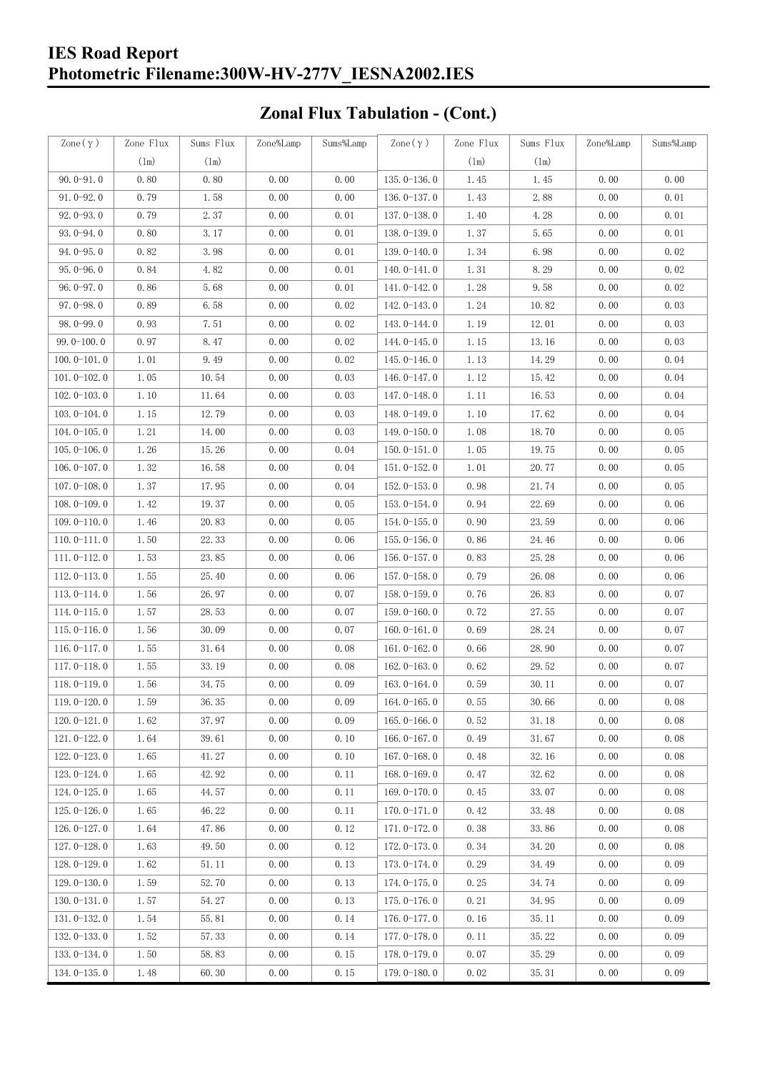### **IES Road Report Photometric Filename:300W-HV-277V\_IESNA2002.IES**

# **Zonal Flux Tabulation - (Cont.)**

| $\text{Zone}(\gamma)$ | Zone Flux | Sums Flux | Zone%Lamp | Sums%Lamp | Zone $(\gamma)$ | Zone Flux | Sums Flux | Zone%Lamp | Sums%Lamp |
|-----------------------|-----------|-----------|-----------|-----------|-----------------|-----------|-----------|-----------|-----------|
|                       | (1m)      | (1m)      |           |           |                 | (1m)      | (1m)      |           |           |
| $90.0 - 91.0$         | 0.80      | 0.80      | 0.00      | 0.00      | $135.0 - 136.0$ | 1.45      | 1.45      | 0.00      | 0.00      |
| $91.0 - 92.0$         | 0.79      | 1.58      | 0.00      | 0.00      | $136.0 - 137.0$ | 1.43      | 2.88      | 0.00      | 0.01      |
| $92.0 - 93.0$         | 0.79      | 2.37      | 0.00      | 0.01      | 137.0-138.0     | 1.40      | 4.28      | 0.00      | 0.01      |
| $93.0 - 94.0$         | 0.80      | 3.17      | 0.00      | 0.01      | 138.0-139.0     | 1.37      | 5.65      | 0.00      | 0.01      |
| $94.0 - 95.0$         | 0.82      | 3.98      | 0.00      | 0.01      | 139.0-140.0     | 1.34      | 6.98      | 0.00      | 0.02      |
| $95.0 - 96.0$         | 0.84      | 4.82      | 0.00      | 0.01      | $140.0 - 141.0$ | 1.31      | 8.29      | 0.00      | 0.02      |
| $96.0 - 97.0$         | 0.86      | 5.68      | 0.00      | 0.01      | 141.0-142.0     | 1.28      | 9.58      | 0.00      | 0.02      |
| $97.0 - 98.0$         | 0.89      | 6.58      | 0.00      | 0.02      | 142.0-143.0     | 1.24      | 10.82     | 0.00      | 0.03      |
| $98.0 - 99.0$         | 0.93      | 7.51      | 0.00      | 0.02      | 143.0-144.0     | 1.19      | 12.01     | 0.00      | 0.03      |
| $99.0 - 100.0$        | 0.97      | 8.47      | 0.00      | 0.02      | $144.0 - 145.0$ | 1.15      | 13.16     | 0.00      | 0.03      |
| $100.0 - 101.0$       | 1.01      | 9.49      | 0.00      | 0.02      | $145.0 - 146.0$ | 1.13      | 14.29     | 0.00      | 0.04      |
| $101.0 - 102.0$       | 1.05      | 10.54     | 0.00      | 0.03      | $146.0 - 147.0$ | 1.12      | 15.42     | 0.00      | 0.04      |
| $102.0 - 103.0$       | 1.10      | 11.64     | 0.00      | 0.03      | 147.0-148.0     | 1.11      | 16.53     | 0.00      | 0.04      |
| $103.0 - 104.0$       | 1.15      | 12.79     | 0.00      | 0.03      | 148.0-149.0     | 1.10      | 17.62     | 0.00      | 0.04      |
| $104.0 - 105.0$       | 1.21      | 14.00     | 0.00      | 0.03      | $149.0 - 150.0$ | 1.08      | 18.70     | 0.00      | 0.05      |
| $105.0 - 106.0$       | 1.26      | 15.26     | 0.00      | 0.04      | $150.0 - 151.0$ | 1.05      | 19.75     | 0.00      | 0.05      |
| $106.0 - 107.0$       | 1.32      | 16.58     | 0.00      | 0.04      | $151.0 - 152.0$ | 1.01      | 20.77     | 0.00      | 0.05      |
| $107.0 - 108.0$       | 1.37      | 17.95     | 0.00      | 0.04      | $152.0 - 153.0$ | 0.98      | 21.74     | 0.00      | 0.05      |
| $108.0 - 109.0$       | 1.42      | 19.37     | 0.00      | 0.05      | $153.0 - 154.0$ | 0.94      | 22.69     | 0.00      | 0.06      |
| $109.0 - 110.0$       | 1.46      | 20.83     | 0.00      | 0.05      | 154.0-155.0     | 0.90      | 23.59     | 0.00      | 0.06      |
| $110.0 - 111.0$       | 1.50      | 22.33     | 0.00      | 0.06      | $155.0 - 156.0$ | 0.86      | 24.46     | 0.00      | 0.06      |
| $111.0 - 112.0$       | 1.53      | 23.85     | 0.00      | 0.06      | $156.0 - 157.0$ | 0.83      | 25.28     | 0.00      | 0.06      |
| $112.0 - 113.0$       | 1.55      | 25.40     | 0.00      | 0.06      | $157.0 - 158.0$ | 0.79      | 26.08     | 0.00      | 0.06      |
| $113.0 - 114.0$       | 1.56      | 26.97     | 0.00      | 0.07      | $158.0 - 159.0$ | 0.76      | 26.83     | 0.00      | 0.07      |
| $114.0 - 115.0$       | 1.57      | 28.53     | 0.00      | 0.07      | $159.0 - 160.0$ | 0.72      | 27.55     | 0.00      | 0.07      |
| $115.0 - 116.0$       | 1.56      | 30.09     | 0.00      | 0.07      | $160.0 - 161.0$ | 0.69      | 28.24     | 0.00      | 0.07      |
| $116.0 - 117.0$       | 1.55      | 31.64     | 0.00      | 0.08      | $161.0 - 162.0$ | 0.66      | 28.90     | 0.00      | 0.07      |
| $117.0 - 118.0$       | 1.55      | 33.19     | 0.00      | 0.08      | $162.0 - 163.0$ | 0.62      | 29.52     | 0.00      | 0.07      |
| $118.0 - 119.0$       | 1.56      | 34.75     | 0.00      | 0.09      | $163.0 - 164.0$ | 0.59      | 30.11     | 0.00      | 0.07      |
| 119.0-120.0           | 1.59      | 36.35     | 0.00      | 0.09      | $164.0 - 165.0$ | 0.55      | 30.66     | 0.00      | $0.08\,$  |
| $120.0 - 121.0$       | 1.62      | 37.97     | 0.00      | 0.09      | $165.0 - 166.0$ | 0.52      | 31.18     | 0.00      | 0.08      |
| $121.0 - 122.0$       | 1.64      | 39.61     | 0.00      | 0.10      | $166.0 - 167.0$ | 0.49      | 31.67     | 0.00      | 0.08      |
| $122.0 - 123.0$       | 1.65      | 41.27     | 0.00      | 0.10      | $167.0 - 168.0$ | 0.48      | 32.16     | 0.00      | 0.08      |
| $123.0 - 124.0$       | 1.65      | 42.92     | 0.00      | 0.11      | $168.0 - 169.0$ | 0.47      | 32.62     | 0.00      | 0.08      |
| $124.0 - 125.0$       | 1.65      | 44.57     | 0.00      | 0.11      | 169.0-170.0     | 0.45      | 33.07     | 0.00      | 0.08      |
| $125.0 - 126.0$       | 1.65      | 46.22     | 0.00      | 0.11      | $170.0 - 171.0$ | 0.42      | 33.48     | 0.00      | 0.08      |
| 126.0-127.0           | 1.64      | 47.86     | 0.00      | 0.12      | 171.0-172.0     | 0.38      | 33.86     | 0.00      | 0.08      |
| $127.0 - 128.0$       | 1.63      | 49.50     | 0.00      | 0.12      | 172.0-173.0     | 0.34      | 34.20     | 0.00      | 0.08      |
| $128.0 - 129.0$       | 1.62      | 51.11     | 0.00      | 0.13      | 173.0-174.0     | 0.29      | 34.49     | 0.00      | 0.09      |
| $129.0 - 130.0$       | 1.59      | 52.70     | 0.00      | 0.13      | 174.0-175.0     | 0.25      | 34.74     | 0.00      | 0.09      |
| $130.0 - 131.0$       | 1.57      | 54.27     | 0.00      | 0.13      | $175.0 - 176.0$ | 0.21      | 34.95     | 0.00      | 0.09      |
| $131.0 - 132.0$       | 1.54      | 55.81     | 0.00      | 0.14      | $176.0 - 177.0$ | 0.16      | 35.11     | 0.00      | 0.09      |
| $132.0 - 133.0$       | 1.52      | 57.33     | 0.00      | 0.14      | 177.0-178.0     | 0.11      | 35.22     | 0.00      | 0.09      |
| $133.0 - 134.0$       | 1.50      | 58.83     | 0.00      | 0.15      | 178.0-179.0     | 0.07      | 35.29     | 0.00      | 0.09      |
| $134.0 - 135.0$       | 1.48      | 60.30     | 0.00      | 0.15      | $179.0 - 180.0$ | 0.02      | 35.31     | 0.00      | 0.09      |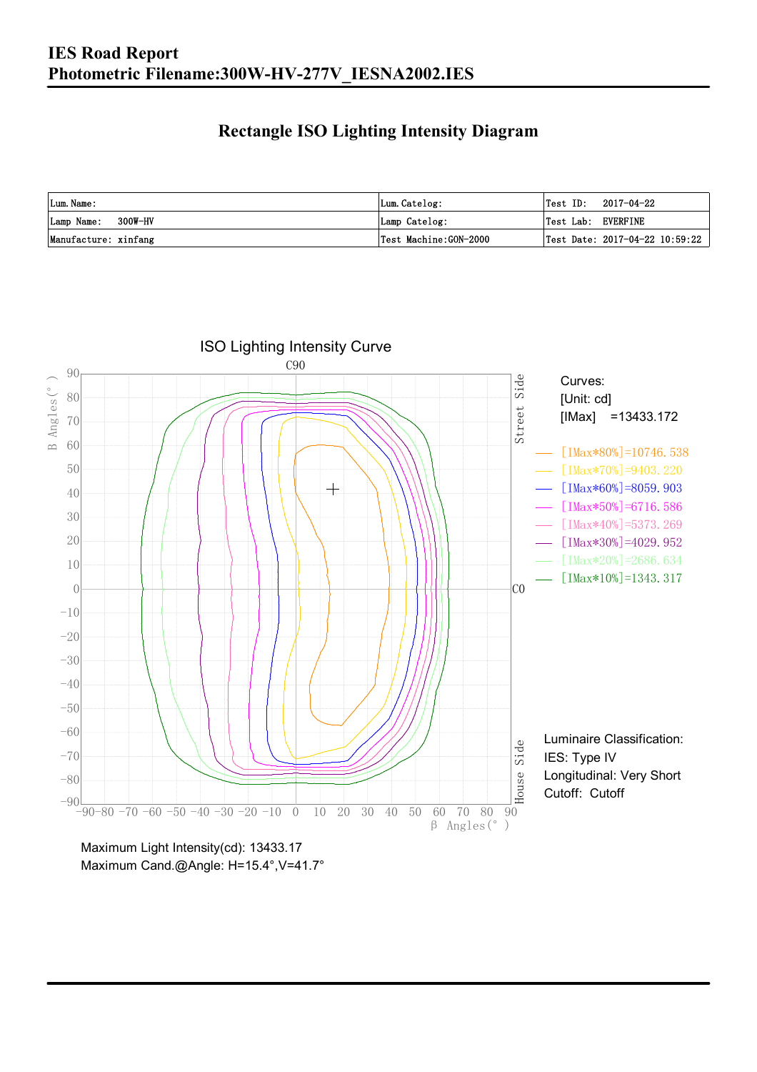### **Rectangle ISO Lighting Intensity Diagram**

| Lum. Name:           | Lum.Catelog:          | $\textsf{Test ID:} \quad 2017-04-22$ |
|----------------------|-----------------------|--------------------------------------|
| Lamp Name: 300W-HV   | Lamp Catelog:         | Test Lab: EVERFINE                   |
| Manufacture: xinfang | Test Machine:GON-2000 | Test Date: 2017-04-22 10:59:22       |



Maximum Cand.@Angle: H=15.4°, V=41.7°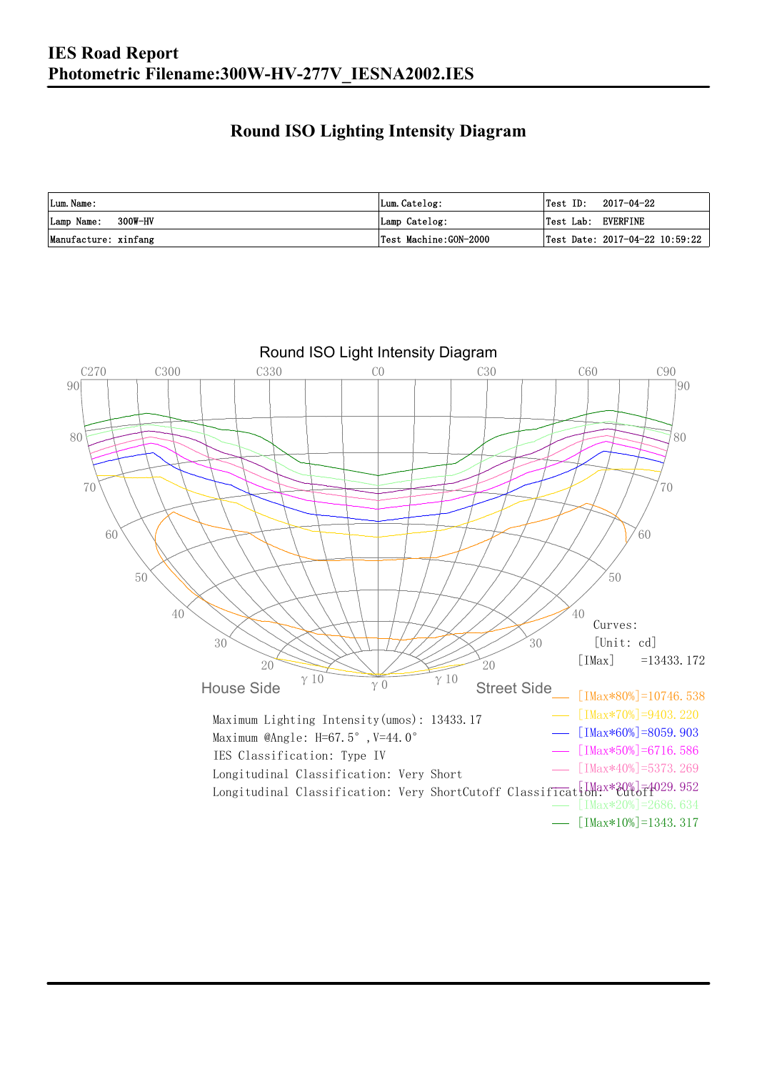### **Round ISO Lighting Intensity Diagram**

| Lum. Name:           | Lum.Catelog:          | Test ID:           | 2017-04-22                                |
|----------------------|-----------------------|--------------------|-------------------------------------------|
| Lamp Name: 300W-HV   | Lamp Catelog:         | Test Lab: EVERFINE |                                           |
| Manufacture: xinfang | Test Machine:GON-2000 |                    | $\sqrt{2}$ Test Date: 2017-04-22 10:59:22 |

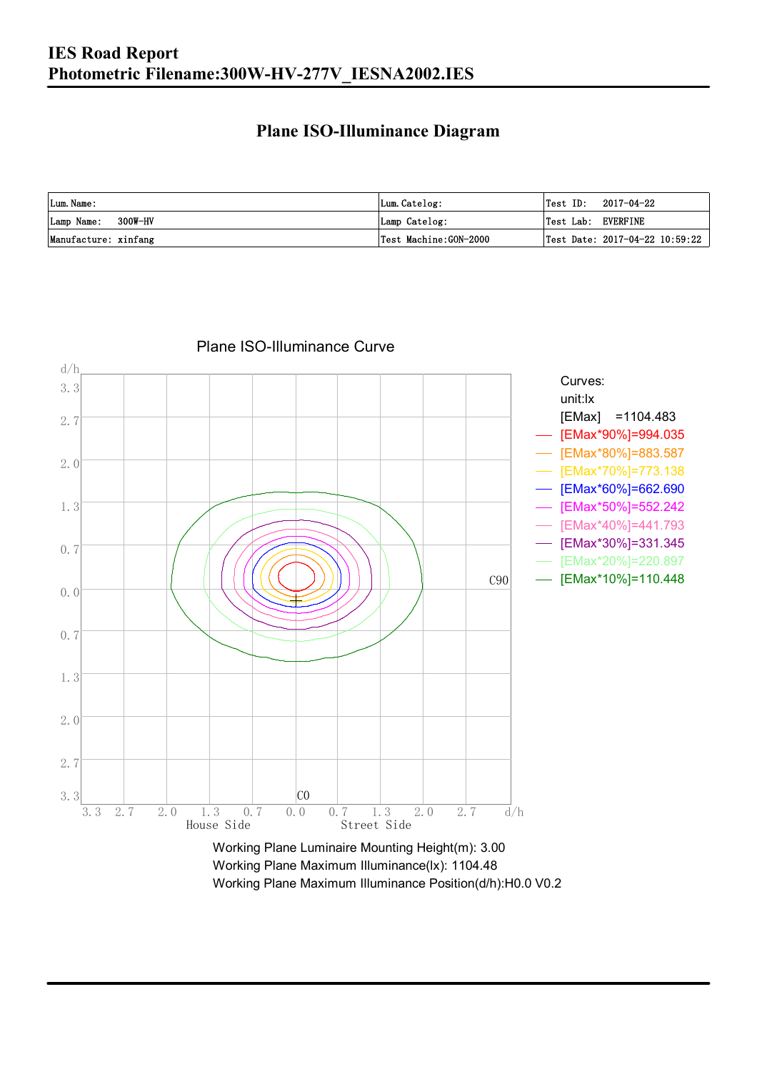### **Plane ISO-Illuminance Diagram**

| Lum. Name:           | Lum.Catelog:          | Test ID:<br>2017-04-22                    |
|----------------------|-----------------------|-------------------------------------------|
| Lamp Name: 300W-HV   | Lamp Catelog:         | Test Lab: EVERFINE                        |
| Manufacture: xinfang | Test Machine:GON-2000 | $\sqrt{2}$ Test Date: 2017-04-22 10:59:22 |



Working Plane Maximum Illuminance(lx): 1104.48

Working Plane Maximum Illuminance Position(d/h):H0.0 V0.2

Plane ISO-Illuminance Curve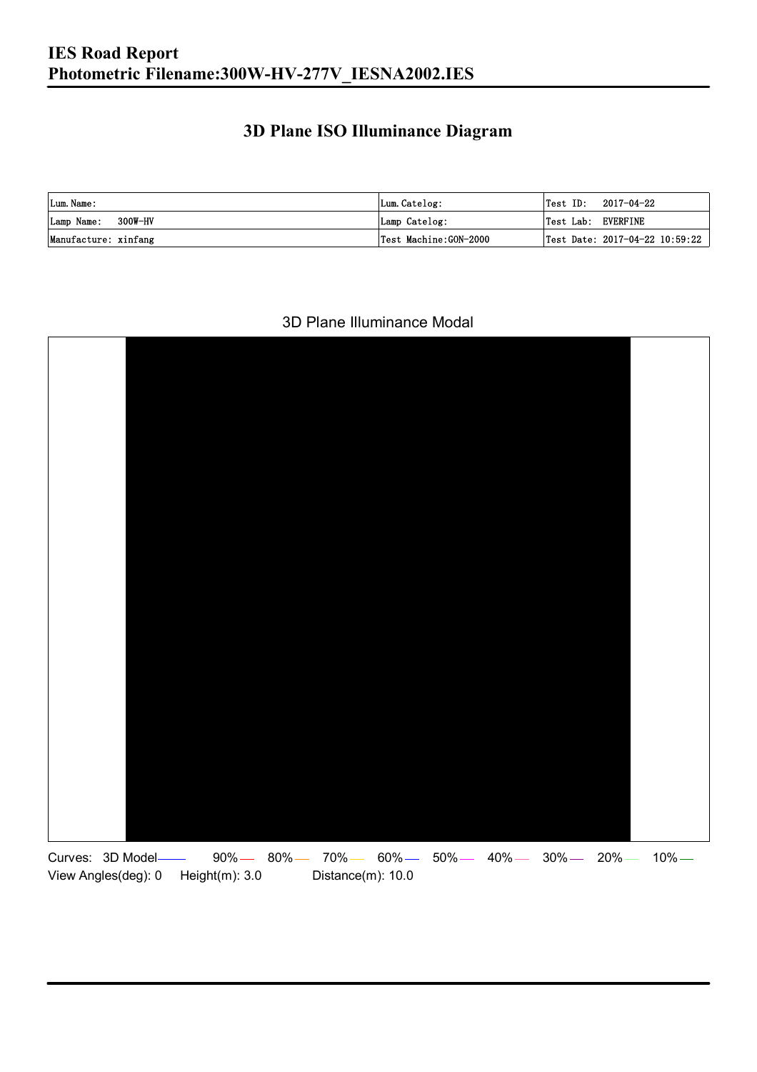### **3D Plane ISO Illuminance Diagram**

| Lum. Name:           | Lum.Catelog:          |                    | $\textsf{Test ID:} \quad 2017-04-22$ |
|----------------------|-----------------------|--------------------|--------------------------------------|
| Lamp Name: 300W-HV   | Lamp Catelog:         | Test Lab: EVERFINE |                                      |
| Manufacture: xinfang | Test Machine:GON-2000 |                    | Test Date: 2017-04-22 10:59:22       |

#### 3D Plane Illuminance Modal

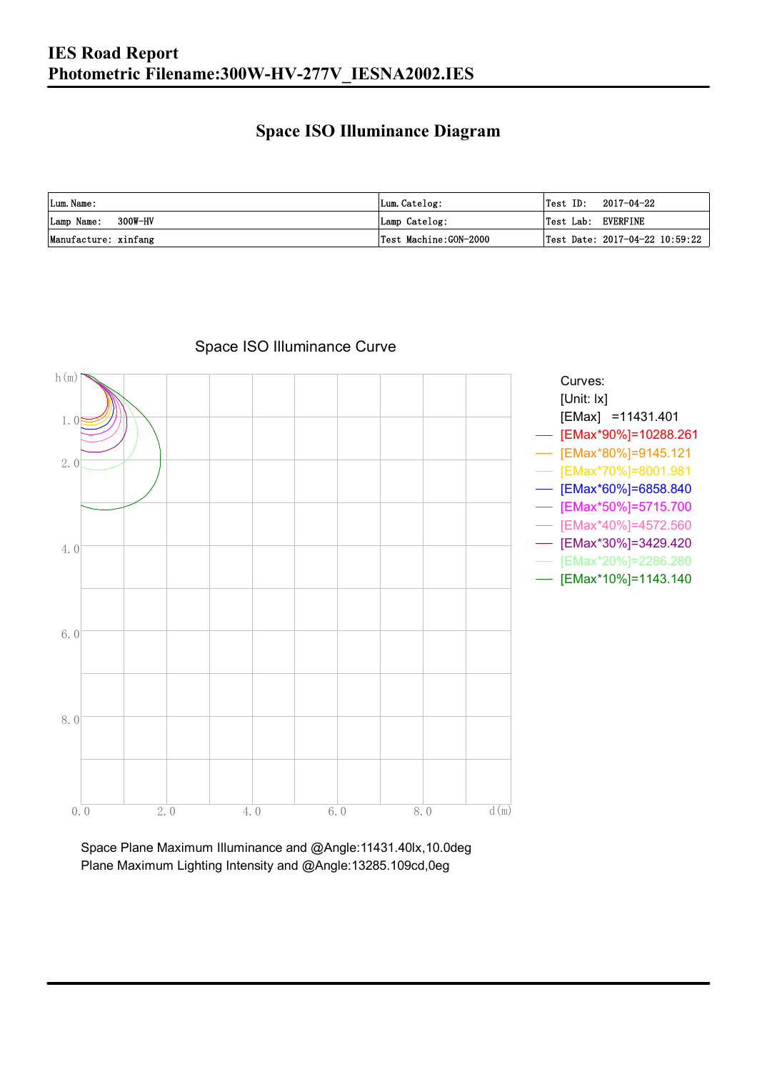### **Space ISO Illuminance Diagram**

| Lum. Name:           | Lum.Catelog:          | $\textsf{Test ID:} \quad 2017-04-22$      |
|----------------------|-----------------------|-------------------------------------------|
| Lamp Name: 300W-HV   | Lamp Catelog:         | Test Lab: EVERFINE                        |
| Manufacture: xinfang | Test Machine:GON-2000 | $\sqrt{2}$ Test Date: 2017-04-22 10:59:22 |



Space ISO Illuminance Curve

Space Plane Maximum Illuminance and @Angle:11431.40lx,10.0deg Plane Maximum Lighting Intensity and @Angle:13285.109cd,0eg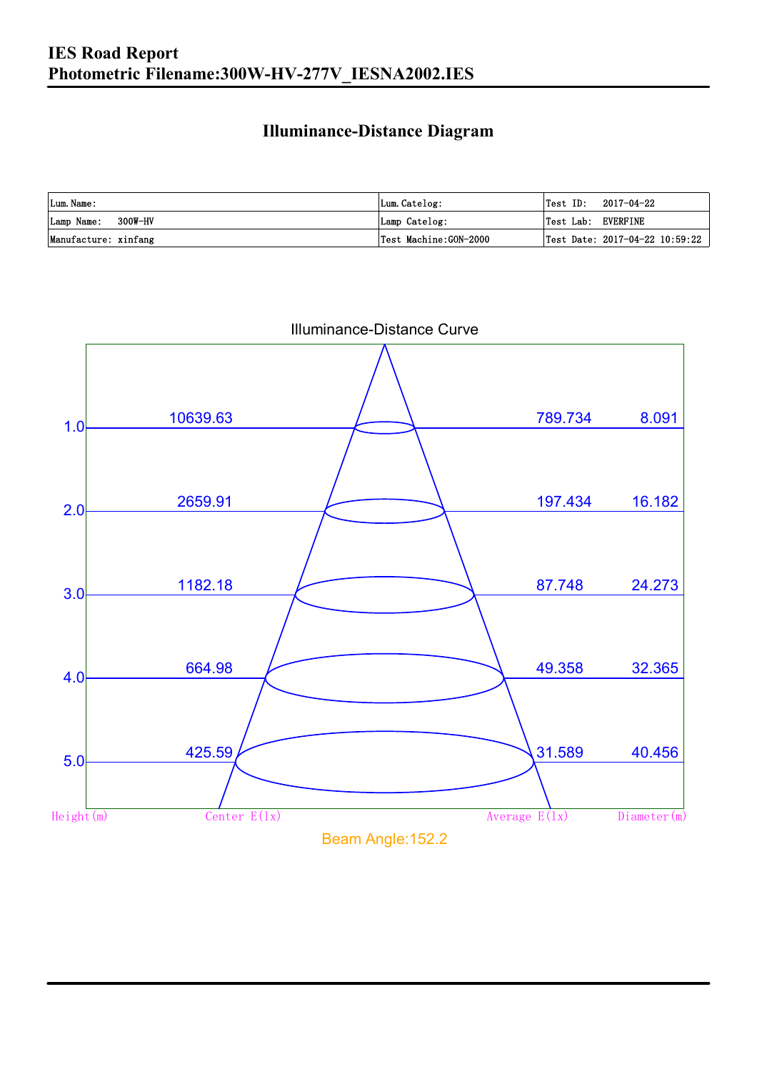### **Illuminance-Distance Diagram**

| Lum. Name:           | Lum.Catelog:          | Test ID:<br>2017-04-22         |
|----------------------|-----------------------|--------------------------------|
| Lamp Name: 300W-HV   | Lamp Catelog:         | Test Lab: EVERFINE             |
| Manufacture: xinfang | Test Machine:GON-2000 | Test Date: 2017-04-22 10:59:22 |



Illuminance-Distance Curve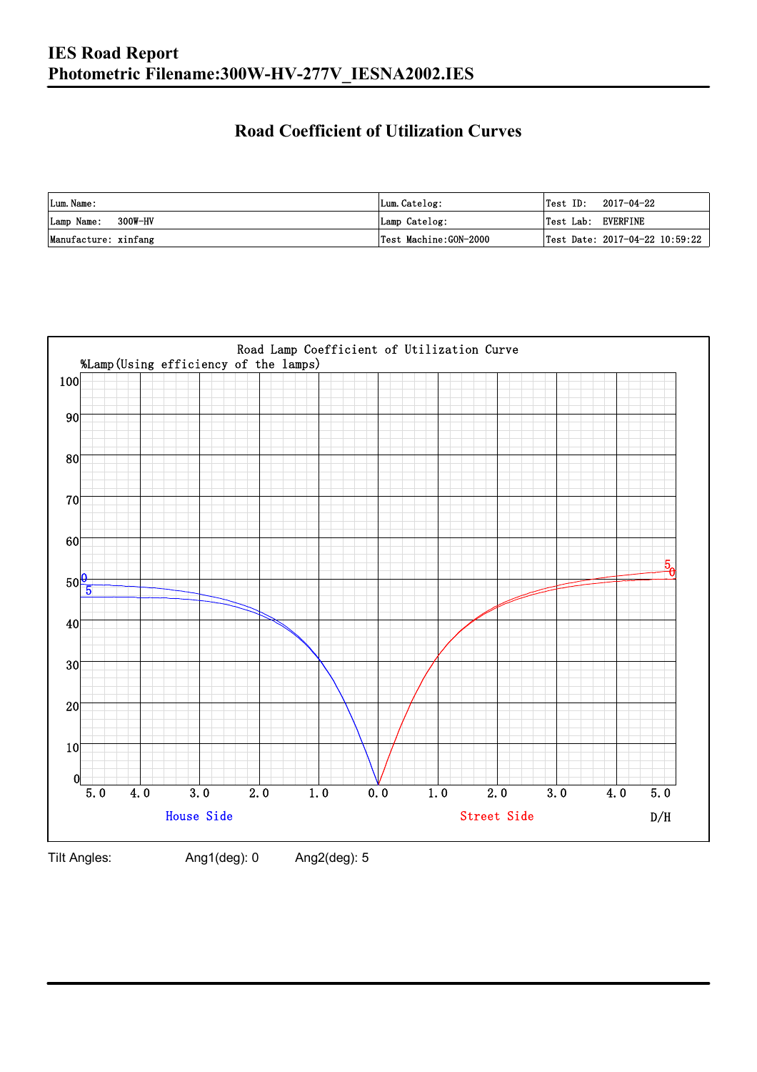### **Road Coefficient of Utilization Curves**

| Lum. Name:           | Lum.Catelog:          | $\textsf{Test ID:} \quad 2017-04-22$ |                                |
|----------------------|-----------------------|--------------------------------------|--------------------------------|
| Lamp Name: 300W-HV   | Lamp Catelog:         | Test Lab: EVERFINE                   |                                |
| Manufacture: xinfang | Test Machine:GON-2000 |                                      | Test Date: 2017-04-22 10:59:22 |



Tilt Angles: Ang1(deg): 0 Ang2(deg): 5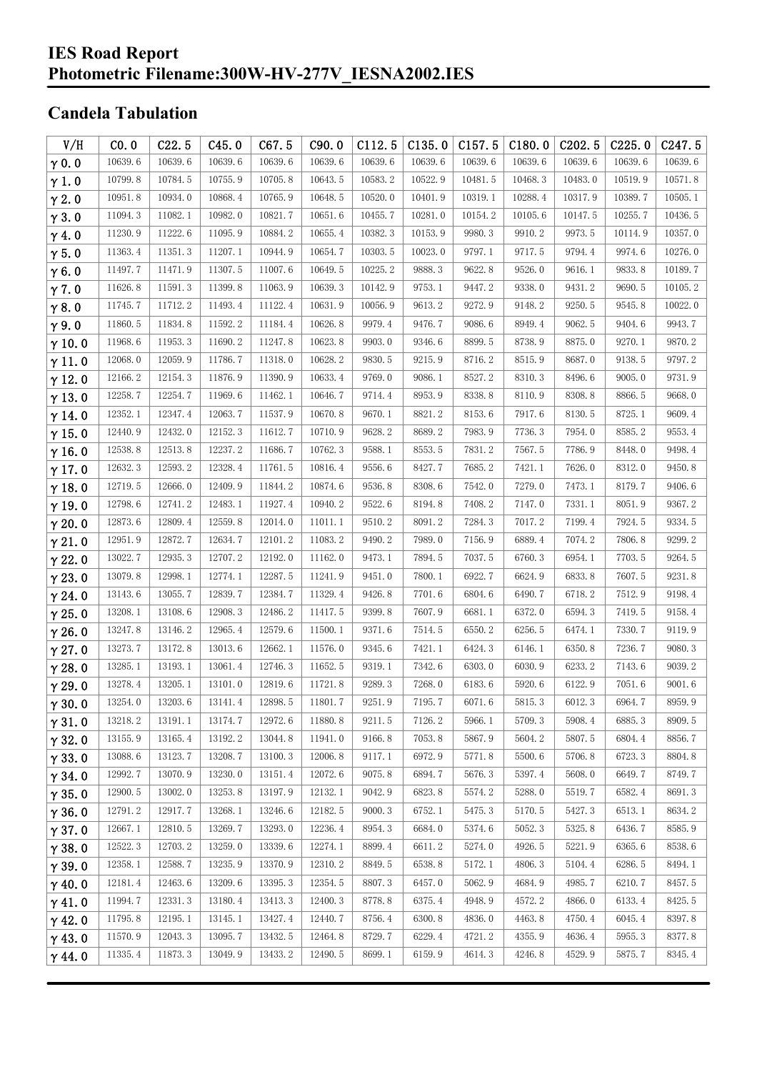#### **IES Road Report Photometric Filename:300W-HV-277V\_IESNA2002.IES**

### **Candela Tabulation**

| V/H           | CO.0    | C22.5   | C45.0   | C67.5   | C90.0   | C112.5  | C135.0  | C157.5  | C180.0  | C202.5  | C225.0  | C <sub>247.5</sub> |
|---------------|---------|---------|---------|---------|---------|---------|---------|---------|---------|---------|---------|--------------------|
| $\gamma$ 0.0  | 10639.6 | 10639.6 | 10639.6 | 10639.6 | 10639.6 | 10639.6 | 10639.6 | 10639.6 | 10639.6 | 10639.6 | 10639.6 | 10639.6            |
| $\gamma$ 1.0  | 10799.8 | 10784.5 | 10755.9 | 10705.8 | 10643.5 | 10583.2 | 10522.9 | 10481.5 | 10468.3 | 10483.0 | 10519.9 | 10571.8            |
| $\gamma$ 2.0  | 10951.8 | 10934.0 | 10868.4 | 10765.9 | 10648.5 | 10520.0 | 10401.9 | 10319.1 | 10288.4 | 10317.9 | 10389.7 | 10505.1            |
| $\gamma$ 3.0  | 11094.3 | 11082.1 | 10982.0 | 10821.7 | 10651.6 | 10455.7 | 10281.0 | 10154.2 | 10105.6 | 10147.5 | 10255.7 | 10436.5            |
| $\gamma$ 4.0  | 11230.9 | 11222.6 | 11095.9 | 10884.2 | 10655.4 | 10382.3 | 10153.9 | 9980.3  | 9910.2  | 9973.5  | 10114.9 | 10357.0            |
| $\gamma$ 5.0  | 11363.4 | 11351.3 | 11207.1 | 10944.9 | 10654.7 | 10303.5 | 10023.0 | 9797.1  | 9717.5  | 9794.4  | 9974.6  | 10276.0            |
| $\gamma$ 6.0  | 11497.7 | 11471.9 | 11307.5 | 11007.6 | 10649.5 | 10225.2 | 9888.3  | 9622.8  | 9526.0  | 9616.1  | 9833.8  | 10189.7            |
| $\gamma$ 7.0  | 11626.8 | 11591.3 | 11399.8 | 11063.9 | 10639.3 | 10142.9 | 9753.1  | 9447.2  | 9338.0  | 9431.2  | 9690.5  | 10105.2            |
| $\gamma$ 8.0  | 11745.7 | 11712.2 | 11493.4 | 11122.4 | 10631.9 | 10056.9 | 9613.2  | 9272.9  | 9148.2  | 9250.5  | 9545.8  | 10022.0            |
| $\gamma$ 9.0  | 11860.5 | 11834.8 | 11592.2 | 11184.4 | 10626.8 | 9979.4  | 9476.7  | 9086.6  | 8949.4  | 9062.5  | 9404.6  | 9943.7             |
| $\gamma$ 10.0 | 11968.6 | 11953.3 | 11690.2 | 11247.8 | 10623.8 | 9903.0  | 9346.6  | 8899.5  | 8738.9  | 8875.0  | 9270.1  | 9870.2             |
| $\gamma$ 11.0 | 12068.0 | 12059.9 | 11786.7 | 11318.0 | 10628.2 | 9830.5  | 9215.9  | 8716.2  | 8515.9  | 8687.0  | 9138.5  | 9797.2             |
| $\gamma$ 12.0 | 12166.2 | 12154.3 | 11876.9 | 11390.9 | 10633.4 | 9769.0  | 9086.1  | 8527.2  | 8310.3  | 8496.6  | 9005.0  | 9731.9             |
| $\gamma$ 13.0 | 12258.7 | 12254.7 | 11969.6 | 11462.1 | 10646.7 | 9714.4  | 8953.9  | 8338.8  | 8110.9  | 8308.8  | 8866.5  | 9668.0             |
| $\gamma$ 14.0 | 12352.1 | 12347.4 | 12063.7 | 11537.9 | 10670.8 | 9670.1  | 8821.2  | 8153.6  | 7917.6  | 8130.5  | 8725.1  | 9609.4             |
| $\gamma$ 15.0 | 12440.9 | 12432.0 | 12152.3 | 11612.7 | 10710.9 | 9628.2  | 8689.2  | 7983.9  | 7736.3  | 7954.0  | 8585.2  | 9553.4             |
| $\gamma$ 16.0 | 12538.8 | 12513.8 | 12237.2 | 11686.7 | 10762.3 | 9588.1  | 8553.5  | 7831.2  | 7567.5  | 7786.9  | 8448.0  | 9498.4             |
| $\gamma$ 17.0 | 12632.3 | 12593.2 | 12328.4 | 11761.5 | 10816.4 | 9556.6  | 8427.7  | 7685.2  | 7421.1  | 7626.0  | 8312.0  | 9450.8             |
| $\gamma$ 18.0 | 12719.5 | 12666.0 | 12409.9 | 11844.2 | 10874.6 | 9536.8  | 8308.6  | 7542.0  | 7279.0  | 7473.1  | 8179.7  | 9406.6             |
| $\gamma$ 19.0 | 12798.6 | 12741.2 | 12483.1 | 11927.4 | 10940.2 | 9522.6  | 8194.8  | 7408.2  | 7147.0  | 7331.1  | 8051.9  | 9367.2             |
| $\gamma$ 20.0 | 12873.6 | 12809.4 | 12559.8 | 12014.0 | 11011.1 | 9510.2  | 8091.2  | 7284.3  | 7017.2  | 7199.4  | 7924.5  | 9334.5             |
| $\gamma$ 21.0 | 12951.9 | 12872.7 | 12634.7 | 12101.2 | 11083.2 | 9490.2  | 7989.0  | 7156.9  | 6889.4  | 7074.2  | 7806.8  | 9299.2             |
| $\gamma$ 22.0 | 13022.7 | 12935.3 | 12707.2 | 12192.0 | 11162.0 | 9473.1  | 7894.5  | 7037.5  | 6760.3  | 6954.1  | 7703.5  | 9264.5             |
| $\gamma$ 23.0 | 13079.8 | 12998.1 | 12774.1 | 12287.5 | 11241.9 | 9451.0  | 7800.1  | 6922.7  | 6624.9  | 6833.8  | 7607.5  | 9231.8             |
| $\gamma$ 24.0 | 13143.6 | 13055.7 | 12839.7 | 12384.7 | 11329.4 | 9426.8  | 7701.6  | 6804.6  | 6490.7  | 6718.2  | 7512.9  | 9198.4             |
| $\gamma$ 25.0 | 13208.1 | 13108.6 | 12908.3 | 12486.2 | 11417.5 | 9399.8  | 7607.9  | 6681.1  | 6372.0  | 6594.3  | 7419.5  | 9158.4             |
| $\gamma$ 26.0 | 13247.8 | 13146.2 | 12965.4 | 12579.6 | 11500.1 | 9371.6  | 7514.5  | 6550.2  | 6256.5  | 6474.1  | 7330.7  | 9119.9             |
| $\gamma$ 27.0 | 13273.7 | 13172.8 | 13013.6 | 12662.1 | 11576.0 | 9345.6  | 7421.1  | 6424.3  | 6146.1  | 6350.8  | 7236.7  | 9080.3             |
| $\gamma$ 28.0 | 13285.1 | 13193.1 | 13061.4 | 12746.3 | 11652.5 | 9319.1  | 7342.6  | 6303.0  | 6030.9  | 6233.2  | 7143.6  | 9039.2             |
| $\gamma$ 29.0 | 13278.4 | 13205.1 | 13101.0 | 12819.6 | 11721.8 | 9289.3  | 7268.0  | 6183.6  | 5920.6  | 6122.9  | 7051.6  | 9001.6             |
| $\gamma$ 30.0 | 13254.0 | 13203.6 | 13141.4 | 12898.5 | 11801.7 | 9251.9  | 7195.7  | 6071.6  | 5815.3  | 6012.3  | 6964.7  | 8959.9             |
| $\gamma$ 31.0 | 13218.2 | 13191.1 | 13174.7 | 12972.6 | 11880.8 | 9211.5  | 7126.2  | 5966.1  | 5709.3  | 5908.4  | 6885.3  | 8909.5             |
| $\gamma$ 32.0 | 13155.9 | 13165.4 | 13192.2 | 13044.8 | 11941.0 | 9166.8  | 7053.8  | 5867.9  | 5604.2  | 5807.5  | 6804.4  | 8856.7             |
| $\gamma$ 33.0 | 13088.6 | 13123.7 | 13208.7 | 13100.3 | 12006.8 | 9117.1  | 6972.9  | 5771.8  | 5500.6  | 5706.8  | 6723.3  | 8804.8             |
| $\gamma$ 34.0 | 12992.7 | 13070.9 | 13230.0 | 13151.4 | 12072.6 | 9075.8  | 6894.7  | 5676.3  | 5397.4  | 5608.0  | 6649.7  | 8749.7             |
| $\gamma$ 35.0 | 12900.5 | 13002.0 | 13253.8 | 13197.9 | 12132.1 | 9042.9  | 6823.8  | 5574.2  | 5288.0  | 5519.7  | 6582.4  | 8691.3             |
| $\gamma$ 36.0 | 12791.2 | 12917.7 | 13268.1 | 13246.6 | 12182.5 | 9000.3  | 6752.1  | 5475.3  | 5170.5  | 5427.3  | 6513.1  | 8634.2             |
| $\gamma$ 37.0 | 12667.1 | 12810.5 | 13269.7 | 13293.0 | 12236.4 | 8954.3  | 6684.0  | 5374.6  | 5052.3  | 5325.8  | 6436.7  | 8585.9             |
| $\gamma$ 38.0 | 12522.3 | 12703.2 | 13259.0 | 13339.6 | 12274.1 | 8899.4  | 6611.2  | 5274.0  | 4926.5  | 5221.9  | 6365.6  | 8538.6             |
| $\gamma$ 39.0 | 12358.1 | 12588.7 | 13235.9 | 13370.9 | 12310.2 | 8849.5  | 6538.8  | 5172.1  | 4806.3  | 5104.4  | 6286.5  | 8494.1             |
| $\gamma$ 40.0 | 12181.4 | 12463.6 | 13209.6 | 13395.3 | 12354.5 | 8807.3  | 6457.0  | 5062.9  | 4684.9  | 4985.7  | 6210.7  | 8457.5             |
| $\gamma$ 41.0 | 11994.7 | 12331.3 | 13180.4 | 13413.3 | 12400.3 | 8778.8  | 6375.4  | 4948.9  | 4572.2  | 4866.0  | 6133.4  | 8425.5             |
| $\gamma$ 42.0 | 11795.8 | 12195.1 | 13145.1 | 13427.4 | 12440.7 | 8756.4  | 6300.8  | 4836.0  | 4463.8  | 4750.4  | 6045.4  | 8397.8             |
| $\gamma$ 43.0 | 11570.9 | 12043.3 | 13095.7 | 13432.5 | 12464.8 | 8729.7  | 6229.4  | 4721.2  | 4355.9  | 4636.4  | 5955.3  | 8377.8             |
| $\gamma$ 44.0 | 11335.4 | 11873.3 | 13049.9 | 13433.2 | 12490.5 | 8699.1  | 6159.9  | 4614.3  | 4246.8  | 4529.9  | 5875.7  | 8345.4             |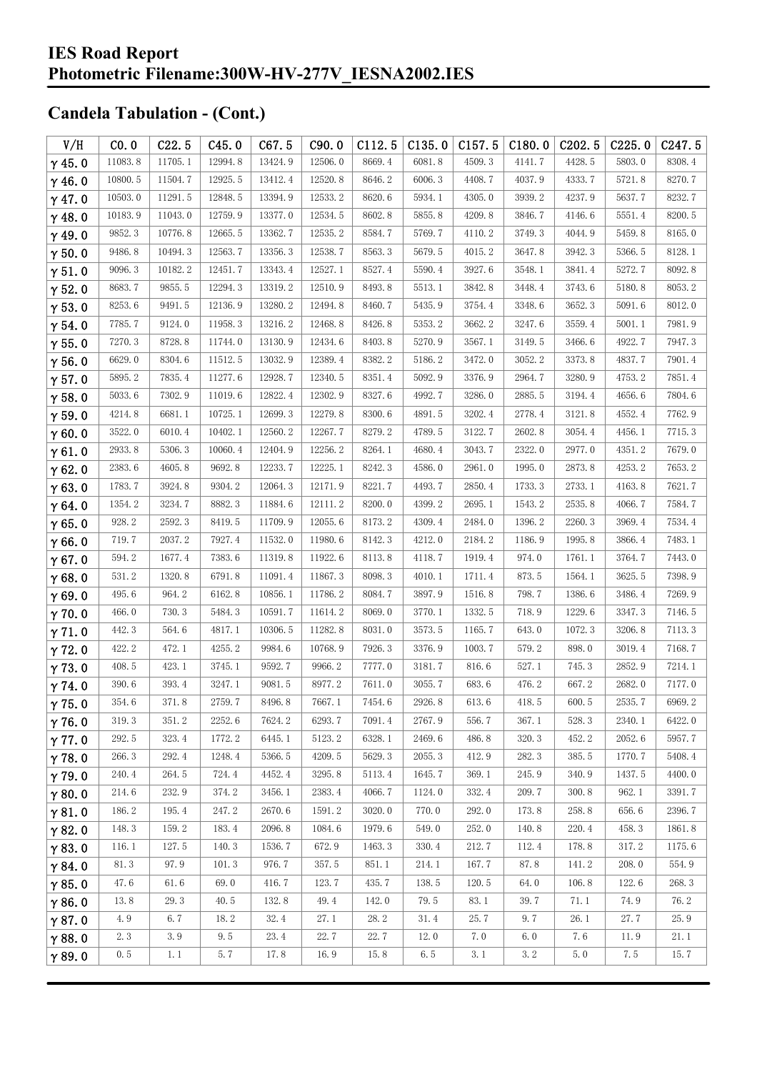| V/H           | CO.0    | C22.5   | C45.0   | C67.5   | C90.0   | C112.5 | C135.0 | C157.5 | C180.0 | C <sub>202.5</sub> | C225.0 | C247.5 |
|---------------|---------|---------|---------|---------|---------|--------|--------|--------|--------|--------------------|--------|--------|
| $\gamma$ 45.0 | 11083.8 | 11705.1 | 12994.8 | 13424.9 | 12506.0 | 8669.4 | 6081.8 | 4509.3 | 4141.7 | 4428.5             | 5803.0 | 8308.4 |
| $\gamma$ 46.0 | 10800.5 | 11504.7 | 12925.5 | 13412.4 | 12520.8 | 8646.2 | 6006.3 | 4408.7 | 4037.9 | 4333.7             | 5721.8 | 8270.7 |
| $\gamma$ 47.0 | 10503.0 | 11291.5 | 12848.5 | 13394.9 | 12533.2 | 8620.6 | 5934.1 | 4305.0 | 3939.2 | 4237.9             | 5637.7 | 8232.7 |
| $\gamma$ 48.0 | 10183.9 | 11043.0 | 12759.9 | 13377.0 | 12534.5 | 8602.8 | 5855.8 | 4209.8 | 3846.7 | 4146.6             | 5551.4 | 8200.5 |
| $\gamma$ 49.0 | 9852.3  | 10776.8 | 12665.5 | 13362.7 | 12535.2 | 8584.7 | 5769.7 | 4110.2 | 3749.3 | 4044.9             | 5459.8 | 8165.0 |
| $\gamma$ 50.0 | 9486.8  | 10494.3 | 12563.7 | 13356.3 | 12538.7 | 8563.3 | 5679.5 | 4015.2 | 3647.8 | 3942.3             | 5366.5 | 8128.1 |
| $\gamma$ 51.0 | 9096.3  | 10182.2 | 12451.7 | 13343.4 | 12527.1 | 8527.4 | 5590.4 | 3927.6 | 3548.1 | 3841.4             | 5272.7 | 8092.8 |
| $\gamma$ 52.0 | 8683.7  | 9855.5  | 12294.3 | 13319.2 | 12510.9 | 8493.8 | 5513.1 | 3842.8 | 3448.4 | 3743.6             | 5180.8 | 8053.2 |
| $\gamma$ 53.0 | 8253.6  | 9491.5  | 12136.9 | 13280.2 | 12494.8 | 8460.7 | 5435.9 | 3754.4 | 3348.6 | 3652.3             | 5091.6 | 8012.0 |
| $\gamma$ 54.0 | 7785.7  | 9124.0  | 11958.3 | 13216.2 | 12468.8 | 8426.8 | 5353.2 | 3662.2 | 3247.6 | 3559.4             | 5001.1 | 7981.9 |
| $\gamma$ 55.0 | 7270.3  | 8728.8  | 11744.0 | 13130.9 | 12434.6 | 8403.8 | 5270.9 | 3567.1 | 3149.5 | 3466.6             | 4922.7 | 7947.3 |
| $\gamma$ 56.0 | 6629.0  | 8304.6  | 11512.5 | 13032.9 | 12389.4 | 8382.2 | 5186.2 | 3472.0 | 3052.2 | 3373.8             | 4837.7 | 7901.4 |
| $\gamma$ 57.0 | 5895.2  | 7835.4  | 11277.6 | 12928.7 | 12340.5 | 8351.4 | 5092.9 | 3376.9 | 2964.7 | 3280.9             | 4753.2 | 7851.4 |
| $\gamma$ 58.0 | 5033.6  | 7302.9  | 11019.6 | 12822.4 | 12302.9 | 8327.6 | 4992.7 | 3286.0 | 2885.5 | 3194.4             | 4656.6 | 7804.6 |
| $\gamma$ 59.0 | 4214.8  | 6681.1  | 10725.1 | 12699.3 | 12279.8 | 8300.6 | 4891.5 | 3202.4 | 2778.4 | 3121.8             | 4552.4 | 7762.9 |
| $\gamma$ 60.0 | 3522.0  | 6010.4  | 10402.1 | 12560.2 | 12267.7 | 8279.2 | 4789.5 | 3122.7 | 2602.8 | 3054.4             | 4456.1 | 7715.3 |
| $\gamma$ 61.0 | 2933.8  | 5306.3  | 10060.4 | 12404.9 | 12256.2 | 8264.1 | 4680.4 | 3043.7 | 2322.0 | 2977.0             | 4351.2 | 7679.0 |
| $\gamma$ 62.0 | 2383.6  | 4605.8  | 9692.8  | 12233.7 | 12225.1 | 8242.3 | 4586.0 | 2961.0 | 1995.0 | 2873.8             | 4253.2 | 7653.2 |
| $\gamma$ 63.0 | 1783.7  | 3924.8  | 9304.2  | 12064.3 | 12171.9 | 8221.7 | 4493.7 | 2850.4 | 1733.3 | 2733.1             | 4163.8 | 7621.7 |
| $\gamma$ 64.0 | 1354.2  | 3234.7  | 8882.3  | 11884.6 | 12111.2 | 8200.0 | 4399.2 | 2695.1 | 1543.2 | 2535.8             | 4066.7 | 7584.7 |
| $\gamma$ 65.0 | 928.2   | 2592.3  | 8419.5  | 11709.9 | 12055.6 | 8173.2 | 4309.4 | 2484.0 | 1396.2 | 2260.3             | 3969.4 | 7534.4 |
| $\gamma$ 66.0 | 719.7   | 2037.2  | 7927.4  | 11532.0 | 11980.6 | 8142.3 | 4212.0 | 2184.2 | 1186.9 | 1995.8             | 3866.4 | 7483.1 |
| $\gamma$ 67.0 | 594.2   | 1677.4  | 7383.6  | 11319.8 | 11922.6 | 8113.8 | 4118.7 | 1919.4 | 974.0  | 1761.1             | 3764.7 | 7443.0 |
| $\gamma$ 68.0 | 531.2   | 1320.8  | 6791.8  | 11091.4 | 11867.3 | 8098.3 | 4010.1 | 1711.4 | 873.5  | 1564.1             | 3625.5 | 7398.9 |
| $\gamma$ 69.0 | 495.6   | 964.2   | 6162.8  | 10856.1 | 11786.2 | 8084.7 | 3897.9 | 1516.8 | 798.7  | 1386.6             | 3486.4 | 7269.9 |
| $\gamma$ 70.0 | 466.0   | 730.3   | 5484.3  | 10591.7 | 11614.2 | 8069.0 | 3770.1 | 1332.5 | 718.9  | 1229.6             | 3347.3 | 7146.5 |
| $\gamma$ 71.0 | 442.3   | 564.6   | 4817.1  | 10306.5 | 11282.8 | 8031.0 | 3573.5 | 1165.7 | 643.0  | 1072.3             | 3206.8 | 7113.3 |
| $\gamma$ 72.0 | 422.2   | 472.1   | 4255.2  | 9984.6  | 10768.9 | 7926.3 | 3376.9 | 1003.7 | 579.2  | 898.0              | 3019.4 | 7168.7 |
| $\gamma$ 73.0 | 408.5   | 423.1   | 3745.1  | 9592.7  | 9966.2  | 7777.0 | 3181.7 | 816.6  | 527.1  | 745.3              | 2852.9 | 7214.1 |
| $\gamma$ 74.0 | 390.6   | 393.4   | 3247.1  | 9081.5  | 8977.2  | 7611.0 | 3055.7 | 683.6  | 476.2  | 667.2              | 2682.0 | 7177.0 |
| $\gamma$ 75.0 | 354.6   | 371.8   | 2759.7  | 8496.8  | 7667.1  | 7454.6 | 2926.8 | 613.6  | 418.5  | 600.5              | 2535.7 | 6969.2 |
| $\gamma$ 76.0 | 319.3   | 351.2   | 2252.6  | 7624.2  | 6293.7  | 7091.4 | 2767.9 | 556.7  | 367.1  | 528.3              | 2340.1 | 6422.0 |
| $\gamma$ 77.0 | 292.5   | 323.4   | 1772.2  | 6445.1  | 5123.2  | 6328.1 | 2469.6 | 486.8  | 320.3  | 452.2              | 2052.6 | 5957.7 |
| $\gamma$ 78.0 | 266.3   | 292.4   | 1248.4  | 5366.5  | 4209.5  | 5629.3 | 2055.3 | 412.9  | 282.3  | 385.5              | 1770.7 | 5408.4 |
| $\gamma$ 79.0 | 240.4   | 264.5   | 724.4   | 4452.4  | 3295.8  | 5113.4 | 1645.7 | 369.1  | 245.9  | 340.9              | 1437.5 | 4400.0 |
| $\gamma$ 80.0 | 214.6   | 232.9   | 374.2   | 3456.1  | 2383.4  | 4066.7 | 1124.0 | 332.4  | 209.7  | 300.8              | 962.1  | 3391.7 |
| $\gamma$ 81.0 | 186.2   | 195.4   | 247.2   | 2670.6  | 1591.2  | 3020.0 | 770.0  | 292.0  | 173.8  | 258.8              | 656.6  | 2396.7 |
| $\gamma$ 82.0 | 148.3   | 159.2   | 183.4   | 2096.8  | 1084.6  | 1979.6 | 549.0  | 252.0  | 140.8  | 220.4              | 458.3  | 1861.8 |
| $\gamma$ 83.0 | 116.1   | 127.5   | 140.3   | 1536.7  | 672.9   | 1463.3 | 330.4  | 212.7  | 112.4  | 178.8              | 317.2  | 1175.6 |
| $\gamma$ 84.0 | 81.3    | 97.9    | 101.3   | 976.7   | 357.5   | 851.1  | 214.1  | 167.7  | 87.8   | 141.2              | 208.0  | 554.9  |
| $\gamma$ 85.0 | 47.6    | 61.6    | 69.0    | 416.7   | 123.7   | 435.7  | 138.5  | 120.5  | 64.0   | 106.8              | 122.6  | 268.3  |
| $\gamma$ 86.0 | 13.8    | 29.3    | 40.5    | 132.8   | 49.4    | 142.0  | 79.5   | 83.1   | 39.7   | 71.1               | 74.9   | 76.2   |
| $\gamma$ 87.0 | 4.9     | 6.7     | 18.2    | 32.4    | 27.1    | 28.2   | 31.4   | 25.7   | 9.7    | 26.1               | 27.7   | 25.9   |
| $\gamma$ 88.0 | 2.3     | 3.9     | 9.5     | 23.4    | 22.7    | 22.7   | 12.0   | 7.0    | 6.0    | 7.6                | 11.9   | 21.1   |
| $\gamma$ 89.0 | 0.5     | 1.1     | 5.7     | 17.8    | 16.9    | 15.8   | 6.5    | 3.1    | 3.2    | 5.0                | 7.5    | 15.7   |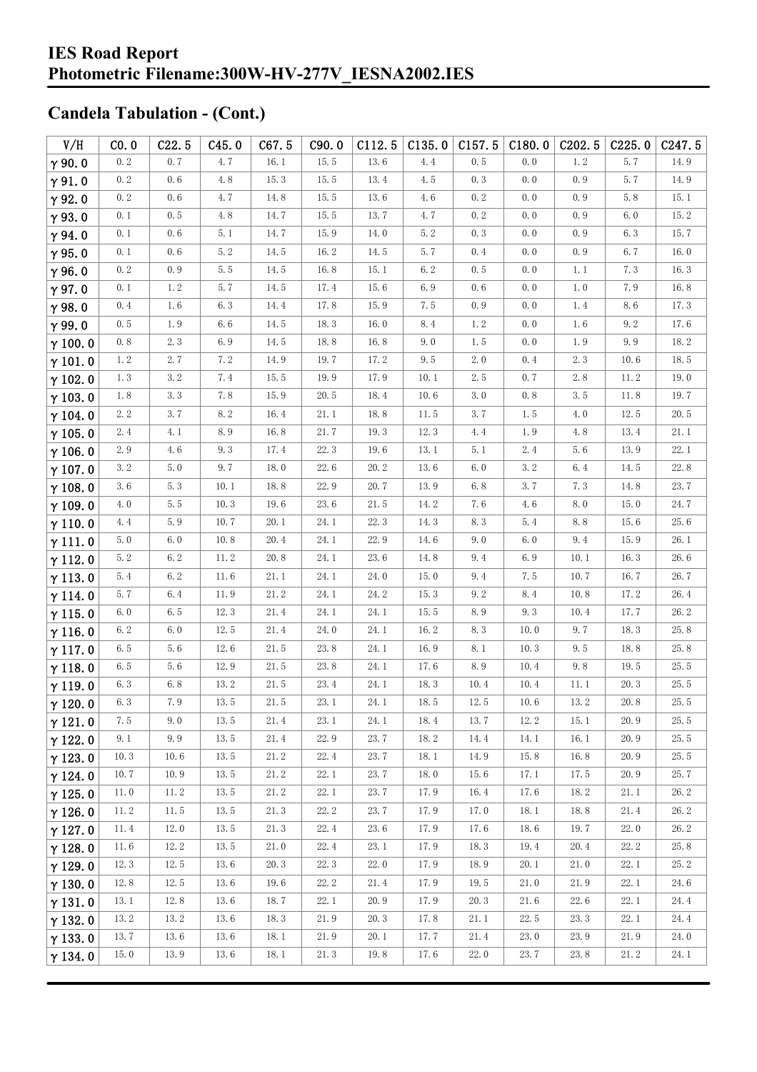| V/H            | CO.0 | C22.5   | C45.0      | C67.5                | C90.0    | C112.5 | C135.0 | C157.5   | C180.0 | C <sub>202.5</sub> | C225.0  | C <sub>247.5</sub> |
|----------------|------|---------|------------|----------------------|----------|--------|--------|----------|--------|--------------------|---------|--------------------|
| $\gamma$ 90.0  | 0.2  | 0.7     | 4.7        | 16.1                 | 15.5     | 13.6   | 4.4    | 0.5      | 0.0    | $1.\,2$            | 5.7     | 14.9               |
| $\gamma$ 91.0  | 0.2  | 0.6     | 4.8        | 15.3                 | 15.5     | 13.4   | 4.5    | 0.3      | 0.0    | 0.9                | 5.7     | 14.9               |
| $\gamma$ 92.0  | 0.2  | 0.6     | 4.7        | 14.8                 | 15.5     | 13.6   | 4.6    | 0.2      | 0.0    | 0.9                | $5.8\,$ | 15.1               |
| $\gamma$ 93.0  | 0.1  | $0.\,5$ | 4.8        | 14.7                 | 15.5     | 13.7   | 4.7    | 0.2      | 0.0    | 0.9                | 6.0     | 15.2               |
| $\gamma$ 94.0  | 0.1  | 0.6     | 5.1        | 14.7                 | 15.9     | 14.0   | 5.2    | 0.3      | 0.0    | 0.9                | 6.3     | 15.7               |
| $\gamma$ 95.0  | 0.1  | 0.6     | 5.2        | 14.5                 | 16.2     | 14.5   | 5.7    | 0.4      | $0.0$  | 0.9                | 6.7     | 16.0               |
| $\gamma$ 96.0  | 0.2  | 0.9     | 5.5        | 14.5                 | 16.8     | 15.1   | 6.2    | 0.5      | 0.0    | 1.1                | 7.3     | 16.3               |
| $\gamma$ 97.0  | 0.1  | 1.2     | 5.7        | 14.5                 | 17.4     | 15.6   | 6.9    | 0.6      | 0.0    | 1.0                | 7.9     | 16.8               |
| $\gamma$ 98.0  | 0.4  | 1.6     | 6.3        | 14.4                 | 17.8     | 15.9   | 7.5    | 0.9      | 0.0    | 1.4                | 8.6     | 17.3               |
| $\gamma$ 99.0  | 0.5  | 1.9     | 6.6        | $14.5\,$             | 18.3     | 16.0   | 8.4    | 1.2      | 0.0    | 1.6                | 9.2     | 17.6               |
| $\gamma$ 100.0 | 0.8  | 2.3     | 6.9        | 14.5                 | 18.8     | 16.8   | 9.0    | 1.5      | 0.0    | 1.9                | 9.9     | 18.2               |
| $\gamma$ 101.0 | 1.2  | 2.7     | 7.2        | 14.9                 | 19.7     | 17.2   | 9.5    | 2.0      | 0.4    | 2.3                | 10.6    | 18.5               |
| $\gamma$ 102.0 | 1.3  | $3.\,2$ | 7.4        | $15.\,\,5$           | 19.9     | 17.9   | 10.1   | 2.5      | 0.7    | 2.8                | 11.2    | 19.0               |
| $\gamma$ 103.0 | 1.8  | 3.3     | 7.8        | 15.9                 | 20.5     | 18.4   | 10.6   | 3.0      | 0.8    | $3.5\,$            | 11.8    | 19.7               |
| $\gamma$ 104.0 | 2.2  | $3.\,7$ | $8.\,2$    | 16.4                 | 21.1     | 18.8   | 11.5   | 3.7      | 1.5    | 4.0                | 12.5    | 20.5               |
| $\gamma$ 105.0 | 2.4  | 4.1     | 8.9        | 16.8                 | 21.7     | 19.3   | 12.3   | 4.4      | 1.9    | 4.8                | 13.4    | 21.1               |
| $\gamma$ 106.0 | 2.9  | 4.6     | $9.3\,$    | 17.4                 | 22.3     | 19.6   | 13.1   | 5.1      | 2.4    | 5.6                | 13.9    | 22.1               |
| $\gamma$ 107.0 | 3.2  | 5.0     | 9.7        | 18.0                 | 22.6     | 20.2   | 13.6   | 6.0      | 3.2    | 6.4                | 14.5    | 22.8               |
| $\gamma$ 108.0 | 3.6  | 5.3     | 10.1       | 18.8                 | 22.9     | 20.7   | 13.9   | 6.8      | 3.7    | 7.3                | 14.8    | 23.7               |
| $\gamma$ 109.0 | 4.0  | 5.5     | 10.3       | 19.6                 | 23.6     | 21.5   | 14.2   | 7.6      | 4.6    | 8.0                | 15.0    | 24.7               |
| $\gamma$ 110.0 | 4.4  | 5.9     | 10.7       | 20.1                 | 24.1     | 22.3   | 14.3   | 8.3      | 5.4    | 8.8                | 15.6    | 25.6               |
| $\gamma$ 111.0 | 5.0  | 6.0     | 10.8       | $20.\,4$             | 24.1     | 22.9   | 14.6   | 9.0      | 6.0    | 9.4                | 15.9    | 26.1               |
| $\gamma$ 112.0 | 5.2  | $6.2\,$ | 11.2       | 20.8                 | 24.1     | 23.6   | 14.8   | 9.4      | 6.9    | 10.1               | 16.3    | 26.6               |
| $\gamma$ 113.0 | 5.4  | $6.2\,$ | $11.6\,$   | $21.\,1$             | 24.1     | 24.0   | 15.0   | 9.4      | 7.5    | 10.7               | 16.7    | 26.7               |
| $\gamma$ 114.0 | 5.7  | 6.4     | 11.9       | 21.2                 | 24.1     | 24.2   | 15.3   | 9.2      | 8.4    | 10.8               | 17.2    | 26.4               |
| $\gamma$ 115.0 | 6.0  | $6.5\,$ | 12.3       | $21.\,4$             | 24.1     | 24.1   | 15.5   | 8.9      | 9.3    | 10.4               | 17.7    | 26.2               |
| $\gamma$ 116.0 | 6.2  | 6.0     | 12.5       | 21.4                 | 24.0     | 24.1   | 16.2   | 8.3      | 10.0   | 9.7                | 18.3    | 25.8               |
| $\gamma$ 117.0 | 6.5  | 5.6     | 12.6       | $21.\,\allowbreak 5$ | 23.8     | 24.1   | 16.9   | 8.1      | 10.3   | 9.5                | 18.8    | 25.8               |
| $\gamma$ 118.0 | 6.5  | 5.6     | 12.9       | 21.5                 | 23.8     | 24.1   | 17.6   | 8.9      | 10.4   | 9.8                | 19.5    | 25.5               |
| $\gamma$ 119.0 | 6.3  | 6.8     | 13.2       | $21.\,\allowbreak 5$ | 23.4     | 24.1   | 18.3   | 10.4     | 10.4   | 11.1               | 20.3    | 25.5               |
| $\gamma$ 120.0 | 6.3  | $7.\,9$ | $13.\,\,5$ | 21.5                 | $23.\,1$ | 24.1   | 18.5   | $12.5\,$ | 10.6   | $13.\,2$           | 20.8    | $25.\,5$           |
| $\gamma$ 121.0 | 7.5  | 9.0     | 13.5       | 21.4                 | 23.1     | 24.1   | 18.4   | 13.7     | 12.2   | 15.1               | 20.9    | 25.5               |
| $\gamma$ 122.0 | 9.1  | 9.9     | 13.5       | 21.4                 | 22.9     | 23.7   | 18.2   | 14.4     | 14.1   | 16.1               | 20.9    | 25.5               |
| $\gamma$ 123.0 | 10.3 | 10.6    | 13.5       | 21.2                 | 22.4     | 23.7   | 18.1   | 14.9     | 15.8   | 16.8               | 20.9    | 25.5               |
| $\gamma$ 124.0 | 10.7 | 10.9    | 13.5       | 21.2                 | 22.1     | 23.7   | 18.0   | 15.6     | 17.1   | 17.5               | 20.9    | 25.7               |
| $\gamma$ 125.0 | 11.0 | 11.2    | 13.5       | 21.2                 | 22.1     | 23.7   | 17.9   | 16.4     | 17.6   | 18.2               | 21.1    | 26.2               |
| $\gamma$ 126.0 | 11.2 | 11.5    | 13.5       | 21.3                 | 22.2     | 23.7   | 17.9   | 17.0     | 18.1   | 18.8               | 21.4    | 26.2               |
| $\gamma$ 127.0 | 11.4 | 12.0    | 13.5       | 21.3                 | 22.4     | 23.6   | 17.9   | 17.6     | 18.6   | 19.7               | 22.0    | 26.2               |
| $\gamma$ 128.0 | 11.6 | 12.2    | 13.5       | 21.0                 | 22.4     | 23.1   | 17.9   | 18.3     | 19.4   | 20.4               | 22.2    | 25.8               |
| $\gamma$ 129.0 | 12.3 | 12.5    | 13.6       | 20.3                 | 22.3     | 22.0   | 17.9   | 18.9     | 20.1   | 21.0               | 22.1    | 25.2               |
| $\gamma$ 130.0 | 12.8 | 12.5    | 13.6       | 19.6                 | 22.2     | 21.4   | 17.9   | 19.5     | 21.0   | 21.9               | 22.1    | 24.6               |
| $\gamma$ 131.0 | 13.1 | 12.8    | 13.6       | 18.7                 | 22.1     | 20.9   | 17.9   | 20.3     | 21.6   | 22.6               | 22.1    | 24.4               |
| $\gamma$ 132.0 | 13.2 | 13.2    | 13.6       | 18.3                 | 21.9     | 20.3   | 17.8   | 21.1     | 22.5   | 23.3               | 22.1    | 24.4               |
| $\gamma$ 133.0 | 13.7 | 13.6    | 13.6       | 18.1                 | 21.9     | 20.1   | 17.7   | 21.4     | 23.0   | 23.9               | 21.9    | 24.0               |
| $\gamma$ 134.0 | 15.0 | 13.9    | 13.6       | 18.1                 | 21.3     | 19.8   | 17.6   | 22.0     | 23.7   | 23.8               | 21.2    | 24.1               |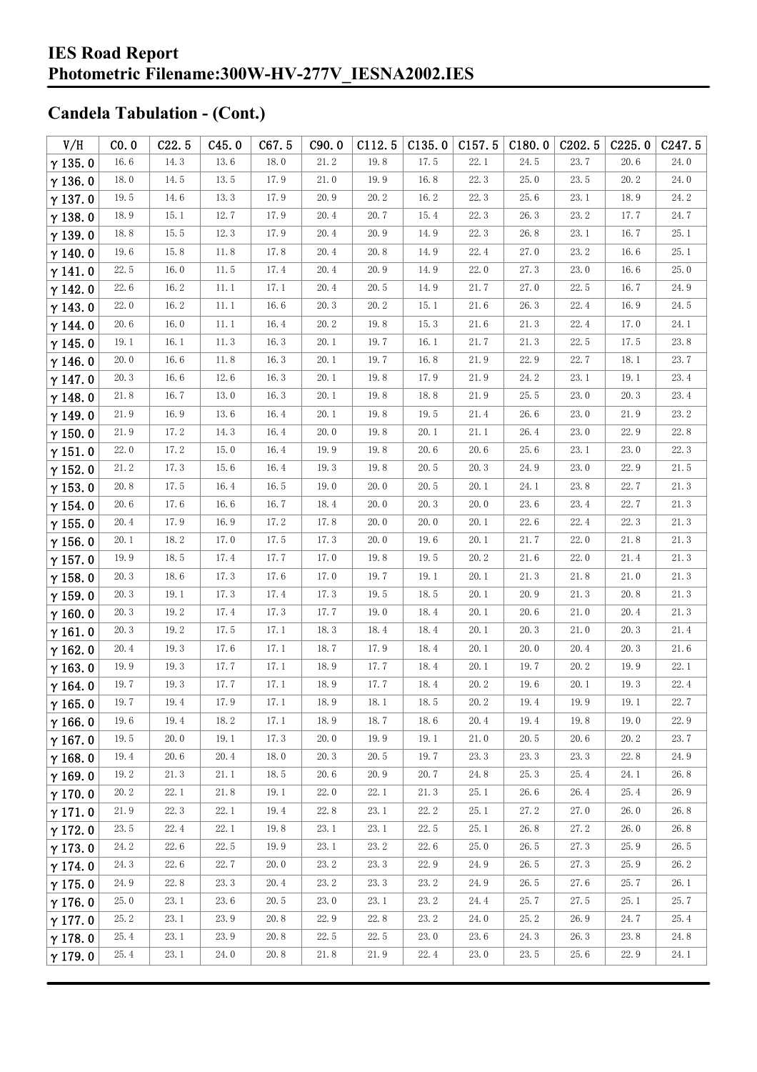| V/H                              | CO.0         | C22.5        | C45.0        | C67.5        | C90.0        | C112.5       | C135.0       | C157.5           | C180.0       | C <sub>202.5</sub> | C225.0       | C <sub>247.5</sub> |
|----------------------------------|--------------|--------------|--------------|--------------|--------------|--------------|--------------|------------------|--------------|--------------------|--------------|--------------------|
| $\gamma$ 135.0                   | 16.6         | 14.3         | 13.6         | 18.0         | 21.2         | 19.8         | 17.5         | 22.1             | 24.5         | 23.7               | 20.6         | 24.0               |
| $\gamma$ 136.0                   | 18.0         | 14.5         | 13.5         | 17.9         | 21.0         | 19.9         | 16.8         | 22.3             | 25.0         | 23.5               | 20.2         | 24.0               |
| $\gamma$ 137.0                   | 19.5         | 14.6         | 13.3         | 17.9         | 20.9         | 20.2         | 16.2         | 22.3             | 25.6         | 23.1               | 18.9         | 24.2               |
| $\gamma$ 138.0                   | 18.9         | 15.1         | 12.7         | 17.9         | 20.4         | 20.7         | 15.4         | 22.3             | 26.3         | 23.2               | 17.7         | 24.7               |
| $\gamma$ 139.0                   | 18.8         | 15.5         | 12.3         | 17.9         | 20.4         | 20.9         | 14.9         | 22.3             | 26.8         | 23.1               | 16.7         | 25.1               |
| $\gamma$ 140.0                   | 19.6         | 15.8         | 11.8         | 17.8         | 20.4         | 20.8         | 14.9         | 22.4             | 27.0         | 23.2               | 16.6         | 25.1               |
| $\gamma$ 141.0                   | 22.5         | 16.0         | $11.\,\,5$   | 17.4         | 20.4         | 20.9         | 14.9         | 22.0             | 27.3         | 23.0               | 16.6         | 25.0               |
| $\gamma$ 142.0                   | 22.6         | 16.2         | 11.1         | 17.1         | 20.4         | 20.5         | 14.9         | 21.7             | 27.0         | 22.5               | 16.7         | 24.9               |
| $\gamma$ 143.0                   | 22.0         | 16.2         | $11.\,1$     | 16.6         | 20.3         | 20.2         | 15.1         | $21.6\,$         | 26.3         | 22.4               | 16.9         | 24.5               |
| $\gamma$ 144.0                   | 20.6         | 16.0         | 11.1         | 16.4         | 20.2         | 19.8         | 15.3         | 21.6             | 21.3         | 22.4               | 17.0         | 24.1               |
| $\gamma$ 145.0                   | 19.1         | 16.1         | 11.3         | 16.3         | 20.1         | 19.7         | 16.1         | 21.7             | 21.3         | 22.5               | 17.5         | 23.8               |
| $\gamma$ 146.0                   | 20.0         | 16.6         | 11.8         | 16.3         | 20.1         | 19.7         | 16.8         | 21.9             | 22.9         | 22.7               | 18.1         | 23.7               |
| $\gamma$ 147.0                   | 20.3         | 16.6         | 12.6         | 16.3         | 20.1         | 19.8         | 17.9         | 21.9             | 24.2         | 23.1               | 19.1         | 23.4               |
| $\gamma$ 148.0                   | 21.8         | 16.7         | 13.0         | 16.3         | 20.1         | 19.8         | 18.8         | 21.9             | 25.5         | 23.0               | 20.3         | 23.4               |
| $\gamma$ 149.0                   | 21.9         | 16.9         | 13.6         | 16.4         | 20.1         | 19.8         | 19.5         | 21.4             | 26.6         | 23.0               | 21.9         | 23.2               |
| $\gamma$ 150.0                   | 21.9         | 17.2         | 14.3         | 16.4         | 20.0         | 19.8         | 20.1         | 21.1             | 26.4         | 23.0               | 22.9         | 22.8               |
| $\gamma$ 151.0                   | 22.0         | 17.2         | $15.0\,$     | 16.4         | 19.9         | 19.8         | $20.6\,$     | $20.6$           | 25.6         | 23.1               | 23.0         | 22.3               |
| $\gamma$ 152.0                   | 21.2         | 17.3         | 15.6         | 16.4         | 19.3         | 19.8         | 20.5         | 20.3             | 24.9         | 23.0               | 22.9         | 21.5               |
| $\gamma$ 153.0                   | 20.8         | 17.5         | 16.4         | 16.5         | 19.0         | 20.0         | 20.5         | 20.1             | 24.1         | 23.8               | 22.7         | 21.3               |
| $\gamma$ 154.0                   | $20.6$       | 17.6         | 16.6         | 16.7         | 18.4         | 20.0         | 20.3         | 20.0             | 23.6         | 23.4               | 22.7         | 21.3               |
| $\gamma$ 155.0                   | 20.4         | 17.9         | 16.9         | 17.2         | 17.8         | 20.0         | 20.0         | 20.1             | 22.6         | 22.4               | 22.3         | 21.3               |
| $\gamma$ 156.0                   | 20.1         | 18.2         | 17.0         | 17.5         | 17.3         | 20.0         | 19.6         | 20.1             | 21.7         | 22.0               | 21.8         | 21.3               |
| $\gamma$ 157.0                   | 19.9         | 18.5         | 17.4         | 17.7         | 17.0         | 19.8         | 19.5         | 20.2             | 21.6         | 22.0               | 21.4         | 21.3               |
| $\gamma$ 158.0                   | 20.3         | 18.6         | 17.3         | 17.6         | 17.0         | 19.7         | 19.1         | 20.1             | 21.3         | 21.8               | 21.0         | 21.3               |
| $\gamma$ 159.0                   | 20.3         | 19.1         | 17.3         | 17.4         | 17.3         | 19.5         | 18.5         | 20.1             | 20.9         | 21.3               | 20.8         | 21.3               |
| $\gamma$ 160.0                   | 20.3         | 19.2         | 17.4         | 17.3         | 17.7         | 19.0         | 18.4         | 20.1             | 20.6         | 21.0               | 20.4         | 21.3               |
| $\gamma$ 161.0                   | 20.3         | 19.2         | 17.5         | 17.1         | 18.3         | 18.4         | 18.4         | 20.1             | 20.3         | 21.0               | 20.3         | 21.4               |
| $\gamma$ 162.0                   | 20.4         | 19.3         | $17.6\,$     | 17.1         | 18.7         | 17.9         | 18.4         | 20.1             | 20.0         | 20.4               | 20.3         | 21.6               |
| $\gamma$ 163.0                   | 19.9         | 19.3         | 17.7         | 17.1         | 18.9<br>18.9 | 17.7<br>17.7 | 18.4         | 20.1<br>$20.\,2$ | 19.7         | 20.2               | 19.9         | 22.1<br>22.4       |
| $\gamma$ 164.0                   | 19.7<br>19.7 | 19.3         | 17.7<br>17.9 | 17.1<br>17.1 | 18.9         | $18.1\,$     | 18.4<br>18.5 | 20.2             | 19.6         | 20.1<br>19.9       | 19.3<br>19.1 | 22.7               |
| $\gamma$ 165.0                   | 19.6         | 19.4<br>19.4 | 18.2         | 17.1         | 18.9         | 18.7         | 18.6         | 20.4             | 19.4<br>19.4 | 19.8               | 19.0         | 22.9               |
| $\gamma$ 166.0                   | 19.5         | 20.0         | 19.1         | 17.3         | 20.0         | 19.9         | 19.1         | 21.0             | 20.5         | 20.6               | 20.2         | 23.7               |
| $\gamma$ 167.0<br>$\gamma$ 168.0 | 19.4         | 20.6         | 20.4         | 18.0         | 20.3         | 20.5         | 19.7         | 23.3             | 23.3         | 23.3               | 22.8         | 24.9               |
| $\gamma$ 169.0                   | 19.2         | 21.3         | 21.1         | 18.5         | 20.6         | 20.9         | 20.7         | 24.8             | 25.3         | 25.4               | 24.1         | 26.8               |
| $\gamma$ 170.0                   | 20.2         | 22.1         | 21.8         | 19.1         | 22.0         | 22.1         | 21.3         | 25.1             | 26.6         | 26.4               | 25.4         | 26.9               |
| $\gamma$ 171.0                   | 21.9         | 22.3         | 22.1         | 19.4         | 22.8         | 23.1         | 22.2         | 25.1             | 27.2         | 27.0               | 26.0         | 26.8               |
| $\gamma$ 172.0                   | 23.5         | 22.4         | 22.1         | 19.8         | 23.1         | 23.1         | 22.5         | 25.1             | 26.8         | 27.2               | 26.0         | 26.8               |
| $\gamma$ 173.0                   | 24.2         | 22.6         | 22.5         | 19.9         | 23.1         | 23.2         | 22.6         | 25.0             | 26.5         | 27.3               | 25.9         | 26.5               |
| $\gamma$ 174.0                   | 24.3         | 22.6         | 22.7         | 20.0         | 23.2         | 23.3         | 22.9         | 24.9             | 26.5         | 27.3               | 25.9         | 26.2               |
| $\gamma$ 175.0                   | 24.9         | 22.8         | 23.3         | 20.4         | 23.2         | 23.3         | 23.2         | 24.9             | 26.5         | 27.6               | 25.7         | 26.1               |
| $\gamma$ 176.0                   | 25.0         | 23.1         | 23.6         | 20.5         | 23.0         | 23.1         | 23.2         | 24.4             | 25.7         | 27.5               | 25.1         | 25.7               |
| $\gamma$ 177.0                   | 25.2         | 23.1         | 23.9         | 20.8         | 22.9         | 22.8         | 23.2         | 24.0             | 25.2         | 26.9               | 24.7         | 25.4               |
| $\gamma$ 178.0                   | 25.4         | 23.1         | 23.9         | 20.8         | 22.5         | 22.5         | 23.0         | 23.6             | 24.3         | 26.3               | 23.8         | 24.8               |
| $\gamma$ 179.0                   | 25.4         | 23.1         | 24.0         | 20.8         | 21.8         | 21.9         | 22.4         | 23.0             | 23.5         | 25.6               | 22.9         | 24.1               |
|                                  |              |              |              |              |              |              |              |                  |              |                    |              |                    |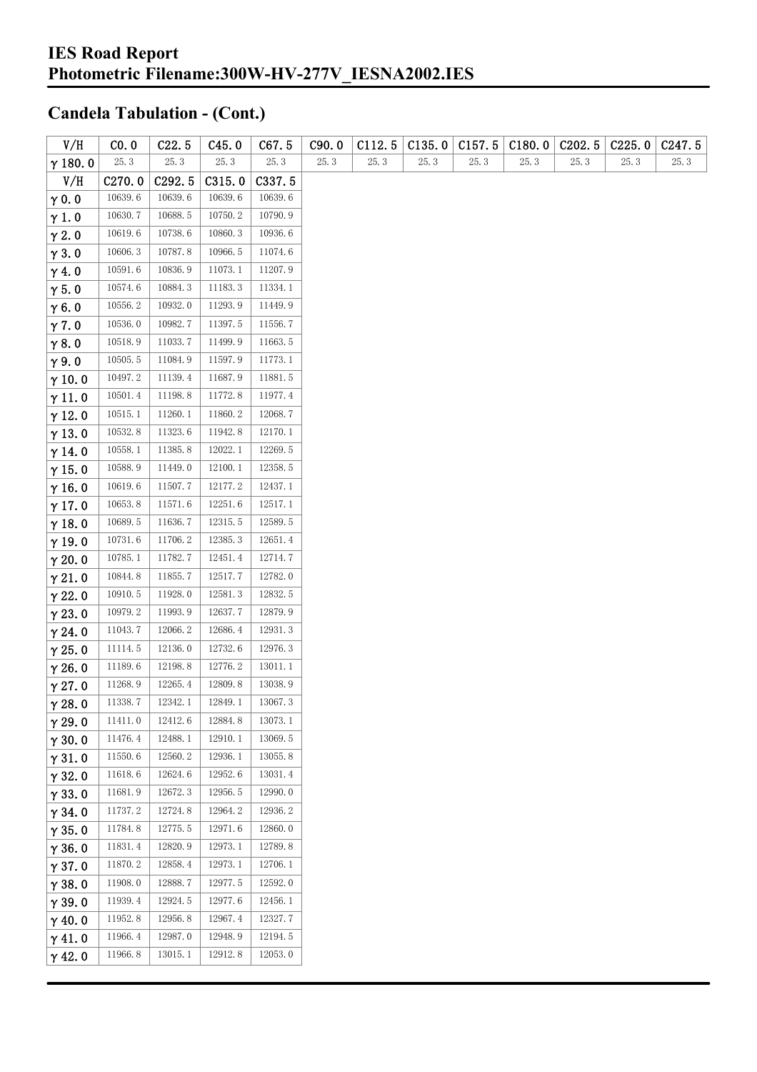| V/H            | CO. 0              | C22.5              | C45.0   | C67.5   | C90.0 | C112.5 | C135.0 | C157.5 | C180.0 | C <sub>2</sub> 02.5 | C225.0 | C <sub>247.5</sub> |
|----------------|--------------------|--------------------|---------|---------|-------|--------|--------|--------|--------|---------------------|--------|--------------------|
| $\gamma$ 180.0 | 25.3               | 25.3               | 25.3    | 25.3    | 25.3  | 25.3   | 25.3   | 25.3   | 25.3   | 25.3                | 25.3   | 25.3               |
| V/H            | C <sub>270.0</sub> | C <sub>292.5</sub> | C315.0  | C337.5  |       |        |        |        |        |                     |        |                    |
| $\gamma$ 0.0   | 10639.6            | 10639.6            | 10639.6 | 10639.6 |       |        |        |        |        |                     |        |                    |
| $\gamma$ 1.0   | 10630.7            | 10688.5            | 10750.2 | 10790.9 |       |        |        |        |        |                     |        |                    |
| $\gamma$ 2.0   | 10619.6            | 10738.6            | 10860.3 | 10936.6 |       |        |        |        |        |                     |        |                    |
| $\gamma$ 3.0   | 10606.3            | 10787.8            | 10966.5 | 11074.6 |       |        |        |        |        |                     |        |                    |
| $\gamma$ 4.0   | 10591.6            | 10836.9            | 11073.1 | 11207.9 |       |        |        |        |        |                     |        |                    |
| $\gamma$ 5.0   | 10574.6            | 10884.3            | 11183.3 | 11334.1 |       |        |        |        |        |                     |        |                    |
| $\gamma$ 6.0   | 10556.2            | 10932.0            | 11293.9 | 11449.9 |       |        |        |        |        |                     |        |                    |
| $\gamma$ 7.0   | 10536.0            | 10982.7            | 11397.5 | 11556.7 |       |        |        |        |        |                     |        |                    |
| $\gamma$ 8.0   | 10518.9            | 11033.7            | 11499.9 | 11663.5 |       |        |        |        |        |                     |        |                    |
| $\gamma$ 9.0   | 10505.5            | 11084.9            | 11597.9 | 11773.1 |       |        |        |        |        |                     |        |                    |
| $\gamma$ 10.0  | 10497.2            | 11139.4            | 11687.9 | 11881.5 |       |        |        |        |        |                     |        |                    |
| $\gamma$ 11.0  | 10501.4            | 11198.8            | 11772.8 | 11977.4 |       |        |        |        |        |                     |        |                    |
| $\gamma$ 12.0  | 10515.1            | 11260.1            | 11860.2 | 12068.7 |       |        |        |        |        |                     |        |                    |
| $\gamma$ 13.0  | 10532.8            | 11323.6            | 11942.8 | 12170.1 |       |        |        |        |        |                     |        |                    |
| $\gamma$ 14.0  | 10558.1            | 11385.8            | 12022.1 | 12269.5 |       |        |        |        |        |                     |        |                    |
| $\gamma$ 15.0  | 10588.9            | 11449.0            | 12100.1 | 12358.5 |       |        |        |        |        |                     |        |                    |
| $\gamma$ 16.0  | 10619.6            | 11507.7            | 12177.2 | 12437.1 |       |        |        |        |        |                     |        |                    |
| $\gamma$ 17.0  | 10653.8            | 11571.6            | 12251.6 | 12517.1 |       |        |        |        |        |                     |        |                    |
| $\gamma$ 18.0  | 10689.5            | 11636.7            | 12315.5 | 12589.5 |       |        |        |        |        |                     |        |                    |
| $\gamma$ 19.0  | 10731.6            | 11706.2            | 12385.3 | 12651.4 |       |        |        |        |        |                     |        |                    |
| $\gamma$ 20.0  | 10785.1            | 11782.7            | 12451.4 | 12714.7 |       |        |        |        |        |                     |        |                    |
| $\gamma$ 21.0  | 10844.8            | 11855.7            | 12517.7 | 12782.0 |       |        |        |        |        |                     |        |                    |
| $\gamma$ 22.0  | 10910.5            | 11928.0            | 12581.3 | 12832.5 |       |        |        |        |        |                     |        |                    |
| $\gamma$ 23.0  | 10979.2            | 11993.9            | 12637.7 | 12879.9 |       |        |        |        |        |                     |        |                    |
| $\gamma$ 24.0  | 11043.7            | 12066.2            | 12686.4 | 12931.3 |       |        |        |        |        |                     |        |                    |
| $\gamma$ 25.0  | 11114.5            | 12136.0            | 12732.6 | 12976.3 |       |        |        |        |        |                     |        |                    |
| $\gamma$ 26.0  | 11189.6            | 12198.8            | 12776.2 | 13011.1 |       |        |        |        |        |                     |        |                    |
| $\gamma$ 27.0  | 11268.9            | 12265.4            | 12809.8 | 13038.9 |       |        |        |        |        |                     |        |                    |
| $\gamma$ 28.0  | 11338.7            | 12342.1            | 12849.1 | 13067.3 |       |        |        |        |        |                     |        |                    |
| $\gamma$ 29.0  | 11411.0            | 12412.6            | 12884.8 | 13073.1 |       |        |        |        |        |                     |        |                    |
| $\gamma$ 30.0  | 11476.4            | 12488.1            | 12910.1 | 13069.5 |       |        |        |        |        |                     |        |                    |
| $\gamma$ 31.0  | 11550.6            | 12560.2            | 12936.1 | 13055.8 |       |        |        |        |        |                     |        |                    |
| $\gamma$ 32.0  | 11618.6            | 12624.6            | 12952.6 | 13031.4 |       |        |        |        |        |                     |        |                    |
| $\gamma$ 33.0  | 11681.9            | 12672.3            | 12956.5 | 12990.0 |       |        |        |        |        |                     |        |                    |
| $\gamma$ 34.0  | 11737.2            | 12724.8            | 12964.2 | 12936.2 |       |        |        |        |        |                     |        |                    |
| $\gamma$ 35.0  | 11784.8            | 12775.5            | 12971.6 | 12860.0 |       |        |        |        |        |                     |        |                    |
| $\gamma$ 36.0  | 11831.4            | 12820.9            | 12973.1 | 12789.8 |       |        |        |        |        |                     |        |                    |
| $\gamma$ 37.0  | 11870.2            | 12858.4            | 12973.1 | 12706.1 |       |        |        |        |        |                     |        |                    |
| $\gamma$ 38.0  | 11908.0            | 12888.7            | 12977.5 | 12592.0 |       |        |        |        |        |                     |        |                    |
| $\gamma$ 39.0  | 11939.4            | 12924.5            | 12977.6 | 12456.1 |       |        |        |        |        |                     |        |                    |
| $\gamma$ 40.0  | 11952.8            | 12956.8            | 12967.4 | 12327.7 |       |        |        |        |        |                     |        |                    |
| $\gamma$ 41.0  | 11966.4            | 12987.0            | 12948.9 | 12194.5 |       |        |        |        |        |                     |        |                    |
| $\gamma$ 42.0  | 11966.8            | 13015.1            | 12912.8 | 12053.0 |       |        |        |        |        |                     |        |                    |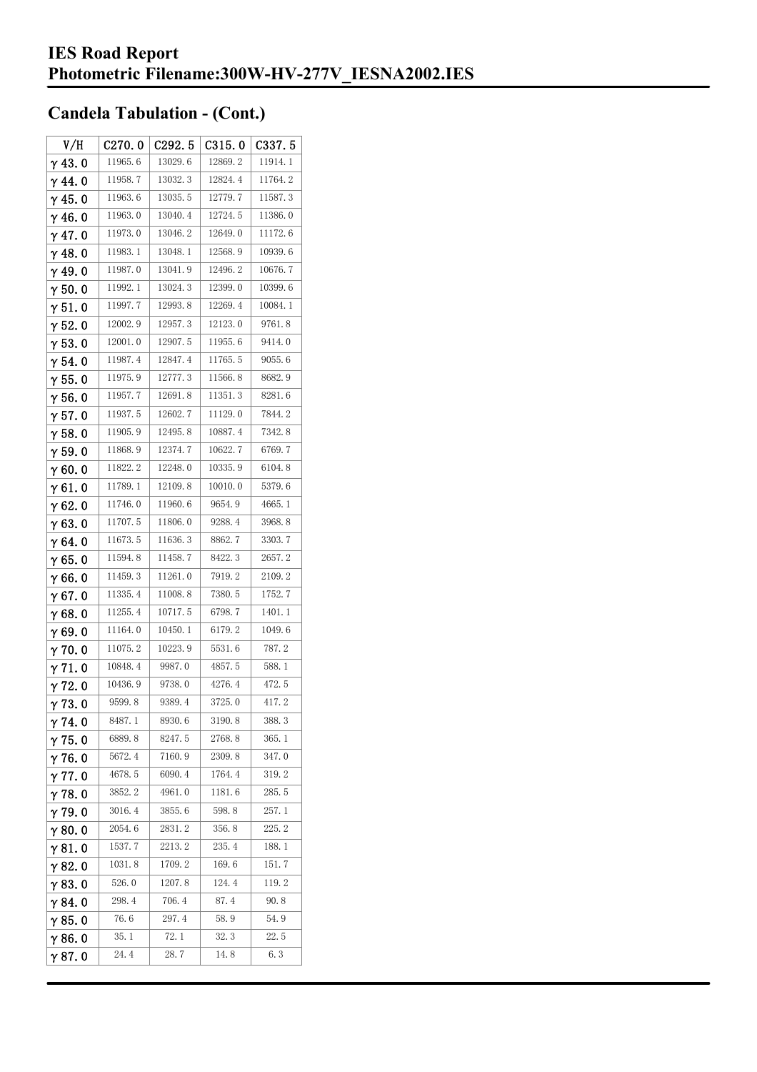| V/H            | C270.0  | C292.5  | C315.0  | C337.5  |
|----------------|---------|---------|---------|---------|
| $\gamma$ 43.0  | 11965.6 | 13029.6 | 12869.2 | 11914.1 |
| $\gamma$ 44. 0 | 11958.7 | 13032.3 | 12824.4 | 11764.2 |
| $\gamma$ 45. 0 | 11963.6 | 13035.5 | 12779.7 | 11587.3 |
| $\gamma$ 46.0  | 11963.0 | 13040.4 | 12724.5 | 11386.0 |
| $\gamma$ 47.0  | 11973.0 | 13046.2 | 12649.0 | 11172.6 |
| $\gamma$ 48.0  | 11983.1 | 13048.1 | 12568.9 | 10939.6 |
| $\gamma$ 49.0  | 11987.0 | 13041.9 | 12496.2 | 10676.7 |
| $\gamma$ 50.0  | 11992.1 | 13024.3 | 12399.0 | 10399.6 |
| $\gamma$ 51.0  | 11997.7 | 12993.8 | 12269.4 | 10084.1 |
| $\gamma$ 52.0  | 12002.9 | 12957.3 | 12123.0 | 9761.8  |
| $\gamma$ 53.0  | 12001.0 | 12907.5 | 11955.6 | 9414.0  |
| $\gamma$ 54. 0 | 11987.4 | 12847.4 | 11765.5 | 9055.6  |
| $\gamma$ 55.0  | 11975.9 | 12777.3 | 11566.8 | 8682.9  |
| γ56.0          | 11957.7 | 12691.8 | 11351.3 | 8281.6  |
| $\gamma$ 57.0  | 11937.5 | 12602.7 | 11129.0 | 7844.2  |
| $\gamma$ 58.0  | 11905.9 | 12495.8 | 10887.4 | 7342.8  |
| $\gamma$ 59.0  | 11868.9 | 12374.7 | 10622.7 | 6769.7  |
| $\gamma$ 60.0  | 11822.2 | 12248.0 | 10335.9 | 6104.8  |
| $\gamma$ 61.0  | 11789.1 | 12109.8 | 10010.0 | 5379.6  |
| $\gamma$ 62.0  | 11746.0 | 11960.6 | 9654.9  | 4665.1  |
| $\gamma$ 63.0  | 11707.5 | 11806.0 | 9288.4  | 3968.8  |
| $\gamma$ 64.0  | 11673.5 | 11636.3 | 8862.7  | 3303.7  |
| $\gamma$ 65.0  | 11594.8 | 11458.7 | 8422.3  | 2657.2  |
| γ66.0          | 11459.3 | 11261.0 | 7919.2  | 2109.2  |
| $\gamma$ 67.0  | 11335.4 | 11008.8 | 7380.5  | 1752.7  |
| $\gamma$ 68.0  | 11255.4 | 10717.5 | 6798.7  | 1401.1  |
| $\gamma$ 69.0  | 11164.0 | 10450.1 | 6179.2  | 1049.6  |
| $\gamma$ 70.0  | 11075.2 | 10223.9 | 5531.6  | 787.2   |
| $\gamma$ 71.0  | 10848.4 | 9987.0  | 4857.5  | 588.1   |
| $\gamma$ 72.0  | 10436.9 | 9738.0  | 4276.4  | 472.5   |
| $\gamma$ 73.0  | 9599.8  | 9389.4  | 3725.0  | 417.2   |
| $\gamma$ 74.0  | 8487.1  | 8930.6  | 3190.8  | 388.3   |
| $\gamma$ 75.0  | 6889.8  | 8247.5  | 2768.8  | 365.1   |
| $\gamma$ 76.0  | 5672.4  | 7160.9  | 2309.8  | 347.0   |
| $\gamma$ 77.0  | 4678.5  | 6090.4  | 1764.4  | 319.2   |
| $\gamma$ 78.0  | 3852.2  | 4961.0  | 1181.6  | 285.5   |
| $\gamma$ 79.0  | 3016.4  | 3855.6  | 598.8   | 257.1   |
| $\gamma$ 80.0  | 2054.6  | 2831.2  | 356.8   | 225.2   |
| $\gamma$ 81.0  | 1537.7  | 2213.2  | 235.4   | 188.1   |
| $\gamma$ 82.0  | 1031.8  | 1709.2  | 169.6   | 151.7   |
| $\gamma$ 83.0  | 526.0   | 1207.8  | 124.4   | 119.2   |
| $\gamma$ 84.0  | 298.4   | 706.4   | 87.4    | 90.8    |
| $\gamma$ 85.0  | 76.6    | 297.4   | 58.9    | 54.9    |
| $\gamma$ 86.0  | 35. 1   | 72.1    | 32.3    | 22.5    |
| $\gamma$ 87.0  | 24.4    | 28.7    | 14.8    | 6.3     |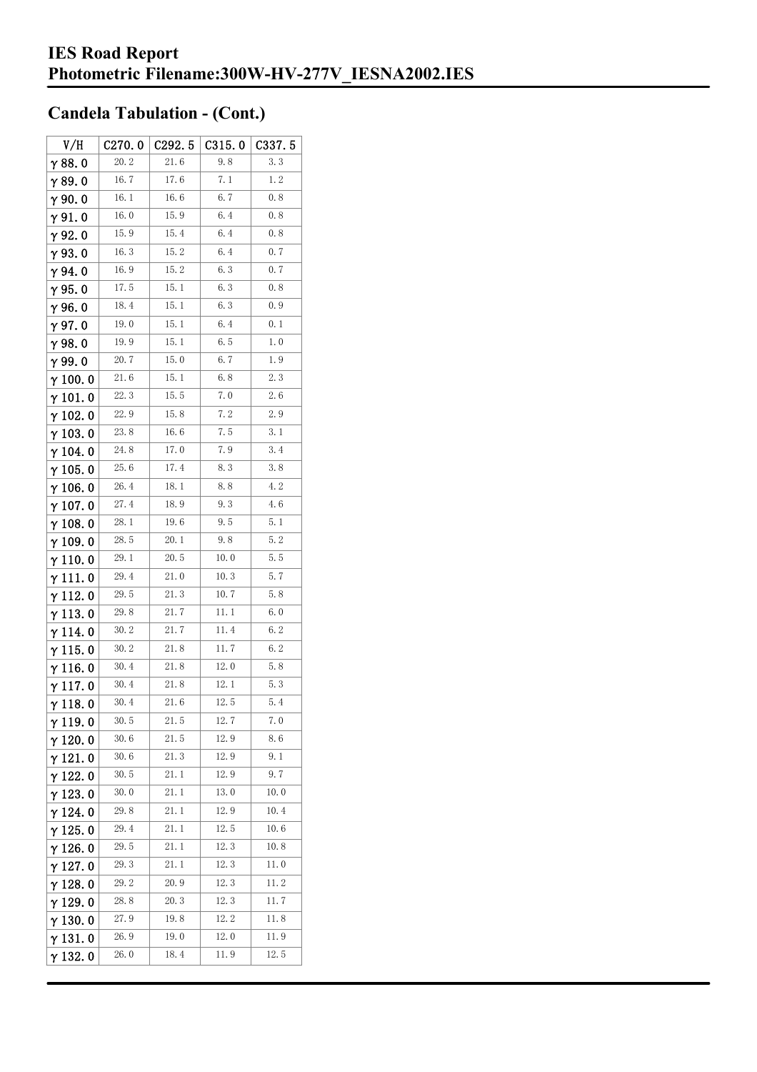| V/H             | C270.0 | C292.5 | C315.0 | C337.5 |
|-----------------|--------|--------|--------|--------|
| $\gamma$ 88.0   | 20.2   | 21.6   | 9.8    | 3.3    |
| $\gamma$ 89.0   | 16.7   | 17.6   | 7.1    | 1.2    |
| $\gamma$ 90.0   | 16.1   | 16.6   | 6.7    | 0.8    |
| $\gamma$ 91.0   | 16.0   | 15.9   | 6.4    | 0.8    |
| γ92.0           | 15.9   | 15.4   | 6.4    | 0.8    |
| $\gamma$ 93. O  | 16.3   | 15.2   | 6.4    | 0, 7   |
| γ94.0           | 16.9   | 15.2   | 6.3    | 0.7    |
| $\gamma$ 95.0   | 17.5   | 15. 1  | 6.3    | 0.8    |
| γ96.0           | 18.4   | 15.1   | 6.3    | 0.9    |
| $\gamma$ 97. 0  | 19.0   | 15.1   | 6.4    | 0.1    |
| $\gamma$ 98.0   | 19.9   | 15.1   | 6.5    | 1.0    |
| $\gamma$ 99.0   | 20.7   | 15.0   | 6.7    | 1.9    |
| $\gamma$ 100. 0 | 21.6   | 15. 1  | 6.8    | 2.3    |
| $\gamma$ 101. 0 | 22.3   | 15.5   | 7.0    | 2.6    |
| $\gamma$ 102.0  | 22.9   | 15.8   | 7.2    | 2.9    |
| $\gamma$ 103. 0 | 23.8   | 16.6   | 7.5    | 3.1    |
| γ 104. 0        | 24.8   | 17.0   | 7.9    | 3.4    |
| $\gamma$ 105.0  | 25.6   | 17.4   | 8.3    | 3.8    |
| $\gamma$ 106.0  | 26.4   | 18.1   | 8.8    | 4.2    |
| γ 107. 0        | 27.4   | 18.9   | 9.3    | 4.6    |
| $\gamma$ 108.0  | 28.1   | 19.6   | 9.5    | 5.1    |
| $\gamma$ 109.0  | 28.5   | 20.1   | 9.8    | 5.2    |
| $\gamma$ 110. 0 | 29.1   | 20.5   | 10.0   | 5.5    |
| γ111.0          | 29.4   | 21.0   | 10.3   | 5.7    |
| $\gamma$ 112. 0 | 29.5   | 21.3   | 10.7   | 5.8    |
| $\gamma$ 113. 0 | 29.8   | 21.7   | 11. 1  | 6.0    |
| γ 114. 0        | 30.2   | 21.7   | 11.4   | 6.2    |
| $\gamma$ 115.0  | 30.2   | 21.8   | 11.7   | 6.2    |
| γ116.0          | 30.4   | 21.8   | 12.0   | 5.8    |
| $\gamma$ 117.0  | 30.4   | 21.8   | 12.1   | 5.3    |
| $\gamma$ 118. 0 | 30.4   | 21.6   | 12.5   | 5.4    |
| γ119.0          | 30.5   | 21.5   | 12.7   | 7.0    |
| $\gamma$ 120.0  | 30.6   | 21.5   | 12.9   | 8. 6   |
| $\gamma$ 121.0  | 30.6   | 21.3   | 12.9   | 9.1    |
| $\gamma$ 122. 0 | 30.5   | 21.1   | 12.9   | 9.7    |
| $\gamma$ 123.0  | 30.0   | 21.1   | 13.0   | 10.0   |
| $\gamma$ 124.0  | 29.8   | 21.1   | 12.9   | 10.4   |
| $\gamma$ 125.0  | 29.4   | 21.1   | 12.5   | 10.6   |
| $\gamma$ 126.0  | 29.5   | 21.1   | 12.3   | 10.8   |
| $\gamma$ 127.0  | 29.3   | 21.1   | 12.3   | 11.0   |
| $\gamma$ 128.0  | 29. 2  | 20.9   | 12.3   | 11.2   |
| $\gamma$ 129. 0 | 28.8   | 20.3   | 12.3   | 11.7   |
| $\gamma$ 130.0  | 27.9   | 19.8   | 12.2   | 11.8   |
| $\gamma$ 131.0  | 26.9   | 19.0   | 12.0   | 11.9   |
| $\gamma$ 132. 0 | 26.0   | 18.4   | 11.9   | 12.5   |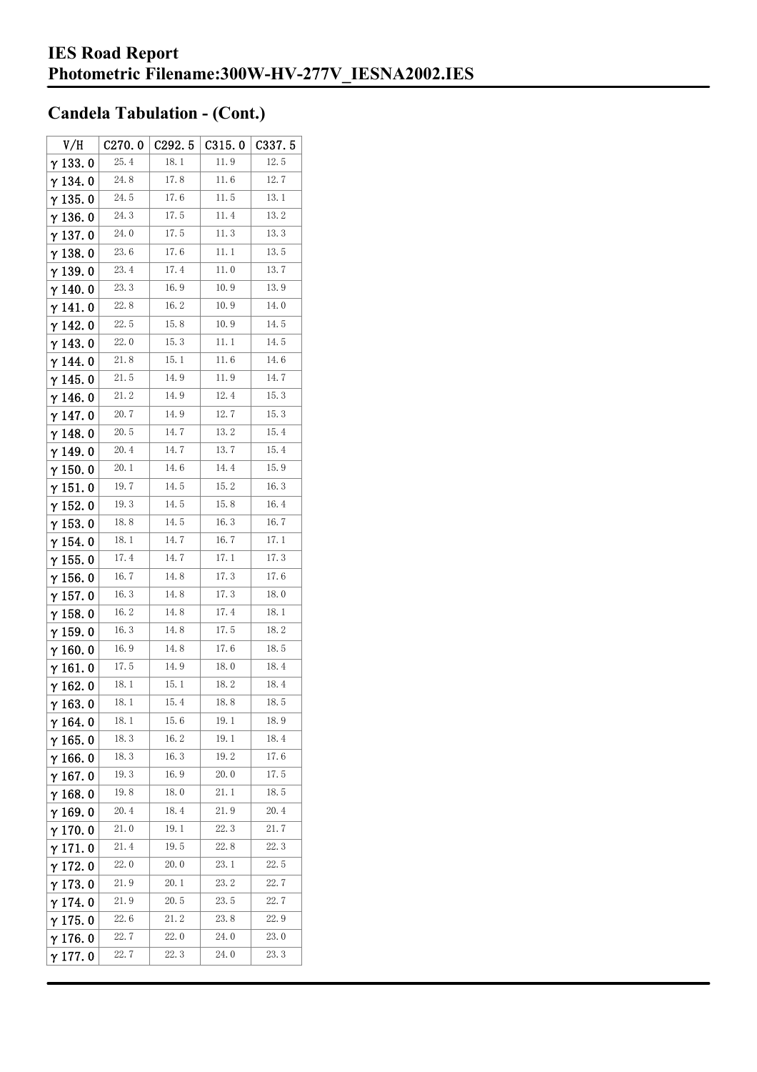| V/H             | C270.0      | C292.5 | C315.0 | C337.5 |
|-----------------|-------------|--------|--------|--------|
| $\gamma$ 133.0  | 25.4        | 18.1   | 11.9   | 12.5   |
| $\gamma$ 134. 0 | 24.8        | 17.8   | 11.6   | 12.7   |
| $\gamma$ 135.0  | 24.5        | 17.6   | 11.5   | 13.1   |
| $\gamma$ 136. 0 | 24.3        | 17.5   | 11.4   | 13.2   |
| $\gamma$ 137. 0 | 24.0        | 17.5   | 11.3   | 13.3   |
| $\gamma$ 138. 0 | 23.6        | 17.6   | 11. 1  | 13.5   |
| γ139.0          | 23.4        | 17.4   | 11.0   | 13.7   |
| $\gamma$ 140. 0 | 23.3        | 16.9   | 10.9   | 13.9   |
| $\gamma$ 141. 0 | 22.8        | 16.2   | 10.9   | 14.0   |
| $\gamma$ 142. 0 | 22.5        | 15.8   | 10.9   | 14.5   |
| $\gamma$ 143.0  | 22.0        | 15.3   | 11. 1  | 14.5   |
| $\gamma$ 144. 0 | 21.8        | 15.1   | 11.6   | 14.6   |
| $\gamma$ 145. 0 | 21.5        | 14.9   | 11.9   | 14.7   |
| γ146.0          | 21.2        | 14. 9  | 12.4   | 15.3   |
| $\gamma$ 147. 0 | 20.7        | 14.9   | 12.7   | 15.3   |
| γ148.0          | <b>20.5</b> | 14.7   | 13.2   | 15.4   |
| $\gamma$ 149. 0 | 20.4        | 14.7   | 13.7   | 15.4   |
| $\gamma$ 150.0  | 20.1        | 14.6   | 14.4   | 15.9   |
| $\gamma$ 151.0  | 19.7        | 14.5   | 15.2   | 16.3   |
| $\gamma$ 152. 0 | 19.3        | 14.5   | 15.8   | 16.4   |
| $\gamma$ 153.0  | 18.8        | 14.5   | 16.3   | 16.7   |
| $\gamma$ 154.0  | 18.1        | 14.7   | 16.7   | 17.1   |
| $\gamma$ 155. 0 | 17.4        | 14.7   | 17.1   | 17.3   |
| $\gamma$ 156. 0 | 16.7        | 14.8   | 17.3   | 17.6   |
| $\gamma$ 157. 0 | 16.3        | 14.8   | 17.3   | 18.0   |
| $\gamma$ 158.0  | 16.2        | 14.8   | 17.4   | 18.1   |
| $\gamma$ 159. 0 | 16.3        | 14.8   | 17.5   | 18.2   |
| $\gamma$ 160.0  | 16.9        | 14.8   | 17.6   | 18.5   |
| $\gamma$ 161. 0 | 17.5        | 14.9   | 18.0   | 18.4   |
| $\gamma$ 162. 0 | 18. 1       | 15.1   | 18.2   | 18.4   |
| $\gamma$ 163.0  | 18. 1       | 15.4   | 18.8   | 18.5   |
| $\gamma$ 164. 0 | 18.1        | 15.6   | 19.1   | 18.9   |
| $\gamma$ 165.0  | 18.3        | 16.2   | 19.1   | 18.4   |
| $\gamma$ 166.0  | 18.3        | 16.3   | 19. 2  | 17.6   |
| $\gamma$ 167.0  | 19.3        | 16.9   | 20.0   | 17.5   |
| $\gamma$ 168.0  | 19.8        | 18.0   | 21.1   | 18.5   |
| $\gamma$ 169.0  | 20.4        | 18.4   | 21.9   | 20.4   |
| $\gamma$ 170.0  | 21.0        | 19.1   | 22.3   | 21.7   |
| $\gamma$ 171.0  | 21.4        | 19.5   | 22.8   | 22.3   |
| $\gamma$ 172.0  | 22.0        | 20.0   | 23.1   | 22.5   |
| $\gamma$ 173.0  | 21.9        | 20.1   | 23.2   | 22.7   |
| $\gamma$ 174.0  | 21.9        | 20.5   | 23.5   | 22.7   |
| $\gamma$ 175. 0 | 22.6        | 21.2   | 23.8   | 22.9   |
| $\gamma$ 176.0  | 22.7        | 22.0   | 24.0   | 23.0   |
| γ177.0          | 22.7        | 22.3   | 24.0   | 23.3   |